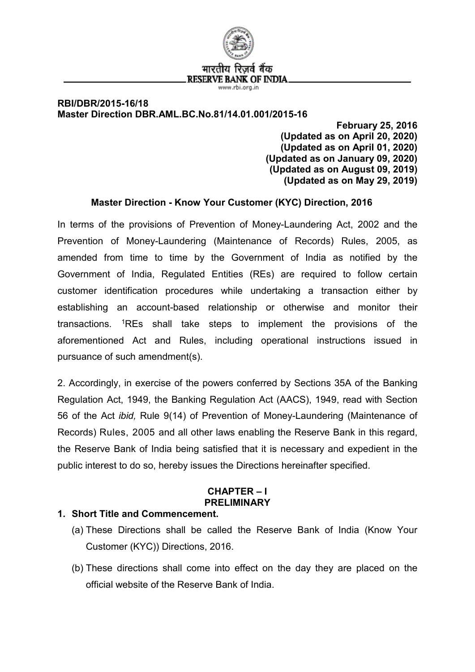

### **RBI/DBR/2015-16/18 Master Direction DBR.AML.BC.No.81/14.01.001/2015-16**

**February 25, 2016 (Updated as on April 20, 2020) (Updated as on April 01, 2020) (Updated as on January 09, 2020) (Updated as on August 09, 2019) (Updated as on May 29, 2019)**

## **Master Direction - Know Your Customer (KYC) Direction, 2016**

In terms of the provisions of Prevention of Money-Laundering Act, 2002 and the Prevention of Money-Laundering (Maintenance of Records) Rules, 2005, as amended from time to time by the Government of India as notified by the Government of India, Regulated Entities (REs) are required to follow certain customer identification procedures while undertaking a transaction either by establishing an account-based relationship or otherwise and monitor their transactions. [1R](#page-2-0)Es shall take steps to implement the provisions of the aforementioned Act and Rules, including operational instructions issued in pursuance of such amendment(s).

2. Accordingly, in exercise of the powers conferred by Sections 35A of the Banking Regulation Act, 1949, the Banking Regulation Act (AACS), 1949, read with Section 56 of the Act *ibid,* Rule 9(14) of Prevention of Money-Laundering (Maintenance of Records) Rules, 2005 and all other laws enabling the Reserve Bank in this regard, the Reserve Bank of India being satisfied that it is necessary and expedient in the public interest to do so, hereby issues the Directions hereinafter specified.

### **CHAPTER – I PRELIMINARY**

## **1. Short Title and Commencement.**

- (a) These Directions shall be called the Reserve Bank of India (Know Your Customer (KYC)) Directions, 2016.
- (b) These directions shall come into effect on the day they are placed on the official website of the Reserve Bank of India.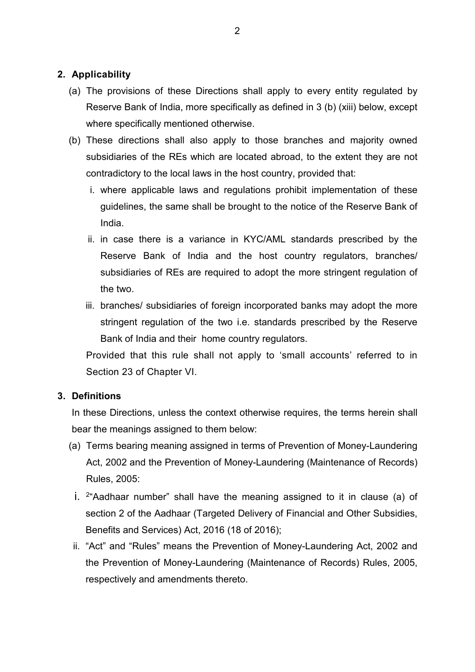## **2. Applicability**

- (a) The provisions of these Directions shall apply to every entity regulated by Reserve Bank of India, more specifically as defined in 3 (b) (xiii) below, except where specifically mentioned otherwise.
- (b) These directions shall also apply to those branches and majority owned subsidiaries of the REs which are located abroad, to the extent they are not contradictory to the local laws in the host country, provided that:
	- i. where applicable laws and regulations prohibit implementation of these guidelines, the same shall be brought to the notice of the Reserve Bank of India.
	- ii. in case there is a variance in KYC/AML standards prescribed by the Reserve Bank of India and the host country regulators, branches/ subsidiaries of REs are required to adopt the more stringent regulation of the two.
	- iii. branches/ subsidiaries of foreign incorporated banks may adopt the more stringent regulation of the two i.e. standards prescribed by the Reserve Bank of India and their home country regulators.

Provided that this rule shall not apply to 'small accounts' referred to in Section 23 of Chapter VI.

### **3. Definitions**

In these Directions, unless the context otherwise requires, the terms herein shall bear the meanings assigned to them below:

- (a) Terms bearing meaning assigned in terms of Prevention of Money-Laundering Act, 2002 and the Prevention of Money-Laundering (Maintenance of Records) Rules, 2005:
- i. <sup>[2](#page-2-1)</sup> Aadhaar number" shall have the meaning assigned to it in clause (a) of section 2 of the Aadhaar (Targeted Delivery of Financial and Other Subsidies, Benefits and Services) Act, 2016 (18 of 2016);
- ii. "Act" and "Rules" means the Prevention of Money-Laundering Act, 2002 and the Prevention of Money-Laundering (Maintenance of Records) Rules, 2005, respectively and amendments thereto.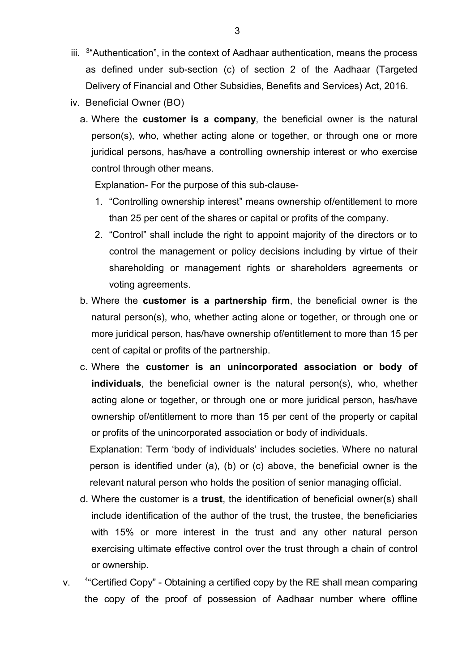- iii. <sup>[3](#page-2-2)"</sup>Authentication", in the context of Aadhaar authentication, means the process as defined under sub-section (c) of section 2 of the Aadhaar (Targeted Delivery of Financial and Other Subsidies, Benefits and Services) Act, 2016.
- iv. Beneficial Owner (BO)
	- a. Where the **customer is a company**, the beneficial owner is the natural person(s), who, whether acting alone or together, or through one or more juridical persons, has/have a controlling ownership interest or who exercise control through other means.

Explanation- For the purpose of this sub-clause-

- <span id="page-2-0"></span>1. "Controlling ownership interest" means ownership of/entitlement to more than 25 per cent of the shares or capital or profits of the company.
- <span id="page-2-5"></span><span id="page-2-4"></span><span id="page-2-3"></span><span id="page-2-2"></span><span id="page-2-1"></span>2. "Control" shall include the right to appoint majority of the directors or to control the management or policy decisions including by virtue of their shareholding or management rights or shareholders agreements or voting agreements.
- <span id="page-2-14"></span><span id="page-2-13"></span><span id="page-2-12"></span><span id="page-2-11"></span><span id="page-2-10"></span><span id="page-2-9"></span><span id="page-2-8"></span><span id="page-2-7"></span><span id="page-2-6"></span>b. Where the **customer is a partnership firm**, the beneficial owner is the natural person(s), who, whether acting alone or together, or through one or more juridical person, has/have ownership of/entitlement to more than 15 per cent of capital or profits of the partnership.
- <span id="page-2-22"></span><span id="page-2-21"></span><span id="page-2-20"></span><span id="page-2-19"></span><span id="page-2-18"></span><span id="page-2-17"></span><span id="page-2-16"></span><span id="page-2-15"></span>c. Where the **customer is an unincorporated association or body of individuals**, the beneficial owner is the natural person(s), who, whether acting alone or together, or through one or more juridical person, has/have ownership of/entitlement to more than 15 per cent of the property or capital or profits of the unincorporated association or body of individuals.

<span id="page-2-23"></span>Explanation: Term 'body of individuals' includes societies. Where no natural person is identified under (a), (b) or (c) above, the beneficial owner is the relevant natural person who holds the position of senior managing official.

- <span id="page-2-24"></span>d. Where the customer is a **trust**, the identification of beneficial owner(s) shall include identification of the author of the trust, the trustee, the beneficiaries with 15% or more interest in the trust and any other natural person exercising ultimate effective control over the trust through a chain of control or ownership.
- <span id="page-2-32"></span><span id="page-2-31"></span><span id="page-2-30"></span><span id="page-2-29"></span><span id="page-2-28"></span><span id="page-2-27"></span><span id="page-2-26"></span><span id="page-2-25"></span> $\mathbf{v}$ <sup>4"</sup>Certified Copy" - Obtaining a certified copy by the RE shall mean comparing the copy of the proof of possession of Aadhaar number where offline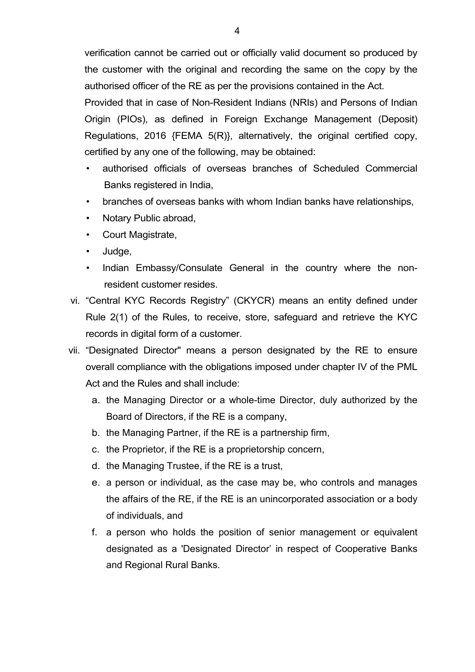<span id="page-3-2"></span><span id="page-3-1"></span><span id="page-3-0"></span>verification cannot be carried out or officially valid document so produced by the customer with the original and recording the same on the copy by the authorised officer of the RE as per the provisions contained in the Act.

<span id="page-3-9"></span><span id="page-3-8"></span><span id="page-3-7"></span><span id="page-3-6"></span><span id="page-3-5"></span><span id="page-3-4"></span><span id="page-3-3"></span>Provided that in case of Non-Resident Indians (NRIs) and Persons of Indian Origin (PIOs), as defined in Foreign Exchange Management (Deposit) Regulations, 2016 {FEMA 5(R)}, alternatively, the original certified copy, certified by any one of the following, may be obtained:

- <span id="page-3-14"></span><span id="page-3-13"></span><span id="page-3-12"></span><span id="page-3-11"></span><span id="page-3-10"></span>• authorised officials of overseas branches of Scheduled Commercial Banks registered in India,
- <span id="page-3-16"></span><span id="page-3-15"></span>• branches of overseas banks with whom Indian banks have relationships,
- <span id="page-3-19"></span><span id="page-3-18"></span><span id="page-3-17"></span>• Notary Public abroad,
- <span id="page-3-21"></span><span id="page-3-20"></span>• Court Magistrate,
- <span id="page-3-22"></span>• Judge,
- Indian Embassy/Consulate General in the country where the nonresident customer resides.
- <span id="page-3-23"></span>vi. "Central KYC Records Registry" (CKYCR) means an entity defined under Rule 2(1) of the Rules, to receive, store, safeguard and retrieve the KYC records in digital form of a customer.
- vii. "Designated Director" means a person designated by the RE to ensure overall compliance with the obligations imposed under chapter IV of the PML Act and the Rules and shall include:
	- a. the Managing Director or a whole-time Director, duly authorized by the Board of Directors, if the RE is a company,
	- b. the Managing Partner, if the RE is a partnership firm,
	- c. the Proprietor, if the RE is a proprietorship concern,
	- d. the Managing Trustee, if the RE is a trust,
	- e. a person or individual, as the case may be, who controls and manages the affairs of the RE, if the RE is an unincorporated association or a body of individuals, and
	- f. a person who holds the position of senior management or equivalent designated as a 'Designated Director' in respect of Cooperative Banks and Regional Rural Banks.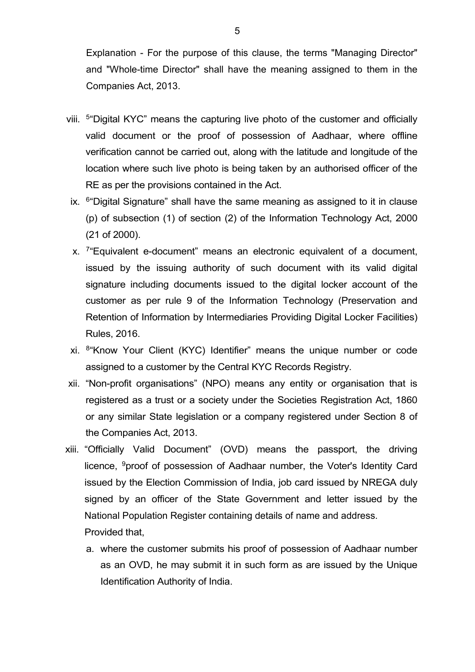Explanation - For the purpose of this clause, the terms "Managing Director" and "Whole-time Director" shall have the meaning assigned to them in the Companies Act, 2013.

- viii. [5](#page-2-4)"Digital KYC" means the capturing live photo of the customer and officially valid document or the proof of possession of Aadhaar, where offline verification cannot be carried out, along with the latitude and longitude of the location where such live photo is being taken by an authorised officer of the RE as per the provisions contained in the Act.
- ix. [6](#page-2-5)"Digital Signature" shall have the same meaning as assigned to it in clause (p) of subsection (1) of section (2) of the Information Technology Act, 2000 (21 of 2000).
- x. [7](#page-2-6)"Equivalent e-document" means an electronic equivalent of a document, issued by the issuing authority of such document with its valid digital signature including documents issued to the digital locker account of the customer as per rule 9 of the Information Technology (Preservation and Retention of Information by Intermediaries Providing Digital Locker Facilities) Rules, 2016.
- xi. [8](#page-2-7)"Know Your Client (KYC) Identifier" means the unique number or code assigned to a customer by the Central KYC Records Registry.
- xii. "Non-profit organisations" (NPO) means any entity or organisation that is registered as a trust or a society under the Societies Registration Act, 1860 or any similar State legislation or a company registered under Section 8 of the Companies Act, 2013.
- xiii. "Officially Valid Document" (OVD) means the passport, the driving licence, [9](#page-2-8)proof of possession of Aadhaar number, the Voter's Identity Card issued by the Election Commission of India, job card issued by NREGA duly signed by an officer of the State Government and letter issued by the National Population Register containing details of name and address. Provided that,
	- a. where the customer submits his proof of possession of Aadhaar number as an OVD, he may submit it in such form as are issued by the Unique Identification Authority of India.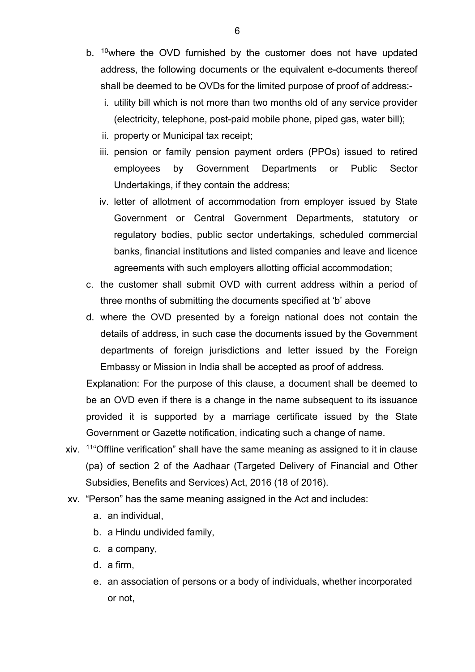- b. <sup>10</sup>where the OVD furnished by the customer does not have updated address, the following documents or the equivalent e-documents thereof shall be deemed to be OVDs for the limited purpose of proof of address:
	- i. utility bill which is not more than two months old of any service provider (electricity, telephone, post-paid mobile phone, piped gas, water bill);
	- ii. property or Municipal tax receipt;
	- iii. pension or family pension payment orders (PPOs) issued to retired employees by Government Departments or Public Sector Undertakings, if they contain the address;
	- iv. letter of allotment of accommodation from employer issued by State Government or Central Government Departments, statutory or regulatory bodies, public sector undertakings, scheduled commercial banks, financial institutions and listed companies and leave and licence agreements with such employers allotting official accommodation;
- c. the customer shall submit OVD with current address within a period of three months of submitting the documents specified at 'b' above
- d. where the OVD presented by a foreign national does not contain the details of address, in such case the documents issued by the Government departments of foreign jurisdictions and letter issued by the Foreign Embassy or Mission in India shall be accepted as proof of address.

Explanation: For the purpose of this clause, a document shall be deemed to be an OVD even if there is a change in the name subsequent to its issuance provided it is supported by a marriage certificate issued by the State Government or Gazette notification, indicating such a change of name.

- xiv. [11"](#page-2-10)Offline verification" shall have the same meaning as assigned to it in clause (pa) of section 2 of the Aadhaar (Targeted Delivery of Financial and Other Subsidies, Benefits and Services) Act, 2016 (18 of 2016).
- xv. "Person" has the same meaning assigned in the Act and includes:
	- a. an individual,
	- b. a Hindu undivided family,
	- c. a company,
	- d. a firm,
	- e. an association of persons or a body of individuals, whether incorporated or not,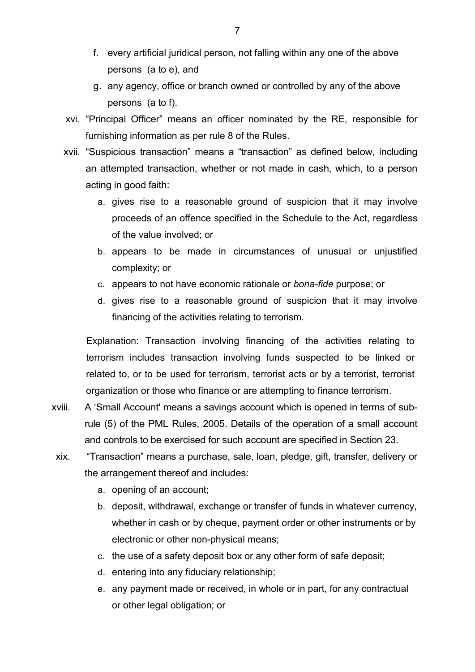- f. every artificial juridical person, not falling within any one of the above persons (a to e), and
- g. any agency, office or branch owned or controlled by any of the above persons (a to f).
- xvi. "Principal Officer" means an officer nominated by the RE, responsible for furnishing information as per rule 8 of the Rules.
- xvii. "Suspicious transaction" means a "transaction" as defined below, including an attempted transaction, whether or not made in cash, which, to a person acting in good faith:
	- a. gives rise to a reasonable ground of suspicion that it may involve proceeds of an offence specified in the Schedule to the Act, regardless of the value involved; or
	- b. appears to be made in circumstances of unusual or unjustified complexity; or
	- c. appears to not have economic rationale or *bona-fide* purpose; or
	- d. gives rise to a reasonable ground of suspicion that it may involve financing of the activities relating to terrorism.

Explanation: Transaction involving financing of the activities relating to terrorism includes transaction involving funds suspected to be linked or related to, or to be used for terrorism, terrorist acts or by a terrorist, terrorist organization or those who finance or are attempting to finance terrorism.

- xviii. A 'Small Account' means a savings account which is opened in terms of subrule (5) of the PML Rules, 2005. Details of the operation of a small account and controls to be exercised for such account are specified in Section 23.
- xix. "Transaction" means a purchase, sale, loan, pledge, gift, transfer, delivery or the arrangement thereof and includes:
	- a. opening of an account;
	- b. deposit, withdrawal, exchange or transfer of funds in whatever currency, whether in cash or by cheque, payment order or other instruments or by electronic or other non-physical means;
	- c. the use of a safety deposit box or any other form of safe deposit;
	- d. entering into any fiduciary relationship;
	- e. any payment made or received, in whole or in part, for any contractual or other legal obligation; or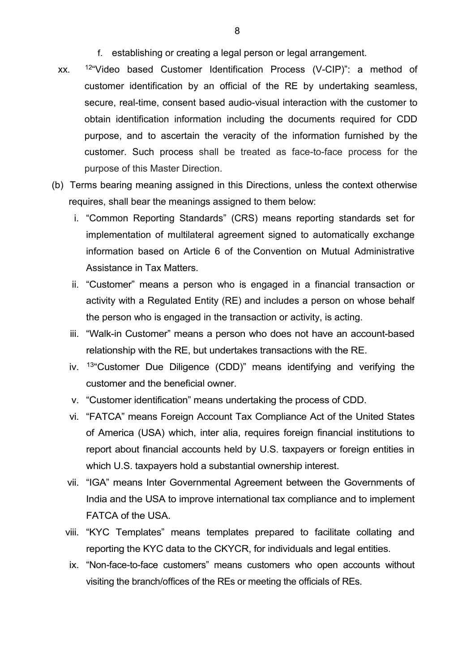- f. establishing or creating a legal person or legal arrangement.
- xx. [12](#page-2-11)"Video based Customer Identification Process (V-CIP)": a method of customer identification by an official of the RE by undertaking seamless, secure, real-time, consent based audio-visual interaction with the customer to obtain identification information including the documents required for CDD purpose, and to ascertain the veracity of the information furnished by the customer. Such process shall be treated as face-to-face process for the purpose of this Master Direction.
- (b) Terms bearing meaning assigned in this Directions, unless the context otherwise requires, shall bear the meanings assigned to them below:
	- i. "Common Reporting Standards" (CRS) means reporting standards set for implementation of multilateral agreement signed to automatically exchange information based on Article 6 of the Convention on Mutual Administrative Assistance in Tax Matters.
	- ii. "Customer" means a person who is engaged in a financial transaction or activity with a Regulated Entity (RE) and includes a person on whose behalf the person who is engaged in the transaction or activity, is acting.
	- iii. "Walk-in Customer" means a person who does not have an account-based relationship with the RE, but undertakes transactions with the RE.
	- iv. [13"](#page-2-12)Customer Due Diligence (CDD)" means identifying and verifying the customer and the beneficial owner.
	- v. "Customer identification" means undertaking the process of CDD.
	- vi. "FATCA" means Foreign Account Tax Compliance Act of the United States of America (USA) which, inter alia, requires foreign financial institutions to report about financial accounts held by U.S. taxpayers or foreign entities in which U.S. taxpayers hold a substantial ownership interest.
	- vii. "IGA" means Inter Governmental Agreement between the Governments of India and the USA to improve international tax compliance and to implement FATCA of the USA.
	- viii. "KYC Templates" means templates prepared to facilitate collating and reporting the KYC data to the CKYCR, for individuals and legal entities.
		- ix. "Non-face-to-face customers" means customers who open accounts without visiting the branch/offices of the REs or meeting the officials of REs.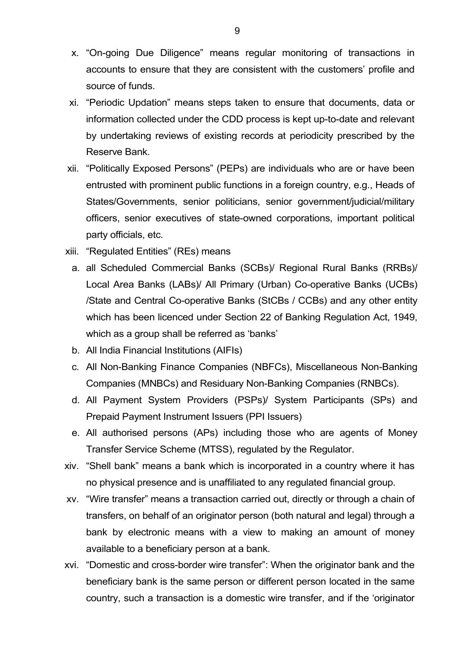- x. "On-going Due Diligence" means regular monitoring of transactions in accounts to ensure that they are consistent with the customers' profile and source of funds.
- xi. "Periodic Updation" means steps taken to ensure that documents, data or information collected under the CDD process is kept up-to-date and relevant by undertaking reviews of existing records at periodicity prescribed by the Reserve Bank.
- xii. "Politically Exposed Persons" (PEPs) are individuals who are or have been entrusted with prominent public functions in a foreign country, e.g., Heads of States/Governments, senior politicians, senior government/judicial/military officers, senior executives of state-owned corporations, important political party officials, etc.
- xiii. "Regulated Entities" (REs) means
	- a. all Scheduled Commercial Banks (SCBs)/ Regional Rural Banks (RRBs)/ Local Area Banks (LABs)/ All Primary (Urban) Co-operative Banks (UCBs) /State and Central Co-operative Banks (StCBs / CCBs) and any other entity which has been licenced under Section 22 of Banking Regulation Act, 1949, which as a group shall be referred as 'banks'
	- b. All India Financial Institutions (AIFIs)
	- c. All Non-Banking Finance Companies (NBFCs), Miscellaneous Non-Banking Companies (MNBCs) and Residuary Non-Banking Companies (RNBCs).
	- d. All Payment System Providers (PSPs)/ System Participants (SPs) and Prepaid Payment Instrument Issuers (PPI Issuers)
	- e. All authorised persons (APs) including those who are agents of Money Transfer Service Scheme (MTSS), regulated by the Regulator.
- xiv. "Shell bank" means a bank which is incorporated in a country where it has no physical presence and is unaffiliated to any regulated financial group.
- xv. "Wire transfer" means a transaction carried out, directly or through a chain of transfers, on behalf of an originator person (both natural and legal) through a bank by electronic means with a view to making an amount of money available to a beneficiary person at a bank.
- xvi. "Domestic and cross-border wire transfer": When the originator bank and the beneficiary bank is the same person or different person located in the same country, such a transaction is a domestic wire transfer, and if the 'originator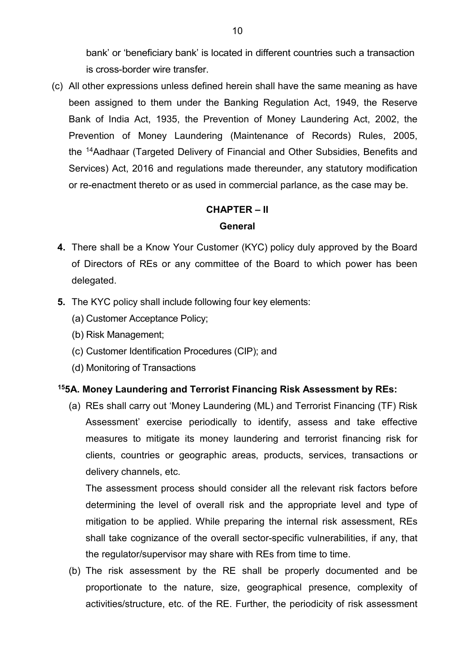bank' or 'beneficiary bank' is located in different countries such a transaction is cross-border wire transfer.

(c) All other expressions unless defined herein shall have the same meaning as have been assigned to them under the Banking Regulation Act, 1949, the Reserve Bank of India Act, 1935, the Prevention of Money Laundering Act, 2002, the Prevention of Money Laundering (Maintenance of Records) Rules, 2005, the [14A](#page-2-13)adhaar (Targeted Delivery of Financial and Other Subsidies, Benefits and Services) Act, 2016 and regulations made thereunder, any statutory modification or re-enactment thereto or as used in commercial parlance, as the case may be.

## **CHAPTER – II General**

- **4.** There shall be a Know Your Customer (KYC) policy duly approved by the Board of Directors of REs or any committee of the Board to which power has been delegated.
- **5.** The KYC policy shall include following four key elements:
	- (a) Customer Acceptance Policy;
	- (b) Risk Management;
	- (c) Customer Identification Procedures (CIP); and
	- (d) Monitoring of Transactions

#### **[15](#page-2-14)5A. Money Laundering and Terrorist Financing Risk Assessment by REs:**

(a) REs shall carry out 'Money Laundering (ML) and Terrorist Financing (TF) Risk Assessment' exercise periodically to identify, assess and take effective measures to mitigate its money laundering and terrorist financing risk for clients, countries or geographic areas, products, services, transactions or delivery channels, etc.

The assessment process should consider all the relevant risk factors before determining the level of overall risk and the appropriate level and type of mitigation to be applied. While preparing the internal risk assessment, REs shall take cognizance of the overall sector-specific vulnerabilities, if any, that the regulator/supervisor may share with REs from time to time.

(b) The risk assessment by the RE shall be properly documented and be proportionate to the nature, size, geographical presence, complexity of activities/structure, etc. of the RE. Further, the periodicity of risk assessment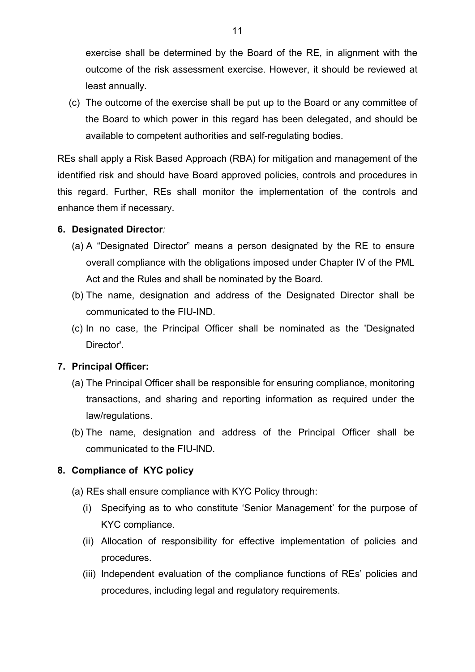exercise shall be determined by the Board of the RE, in alignment with the outcome of the risk assessment exercise. However, it should be reviewed at least annually.

(c) The outcome of the exercise shall be put up to the Board or any committee of the Board to which power in this regard has been delegated, and should be available to competent authorities and self-regulating bodies.

REs shall apply a Risk Based Approach (RBA) for mitigation and management of the identified risk and should have Board approved policies, controls and procedures in this regard. Further, REs shall monitor the implementation of the controls and enhance them if necessary.

### **6. Designated Director***:*

- (a) A "Designated Director" means a person designated by the RE to ensure overall compliance with the obligations imposed under Chapter IV of the PML Act and the Rules and shall be nominated by the Board.
- (b) The name, designation and address of the Designated Director shall be communicated to the FIU-IND.
- (c) In no case, the Principal Officer shall be nominated as the 'Designated Director'.

### **7. Principal Officer:**

- (a) The Principal Officer shall be responsible for ensuring compliance, monitoring transactions, and sharing and reporting information as required under the law/regulations.
- (b) The name, designation and address of the Principal Officer shall be communicated to the FIU-IND.

#### **8. Compliance of KYC policy**

- (a) REs shall ensure compliance with KYC Policy through:
	- (i) Specifying as to who constitute 'Senior Management' for the purpose of KYC compliance.
	- (ii) Allocation of responsibility for effective implementation of policies and procedures.
	- (iii) Independent evaluation of the compliance functions of REs' policies and procedures, including legal and regulatory requirements.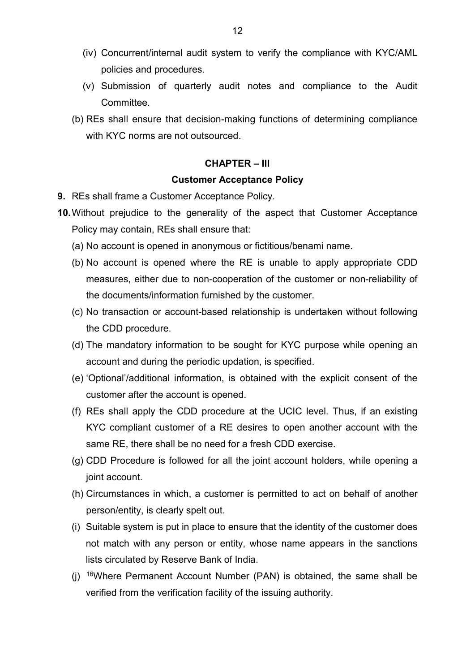- (iv) Concurrent/internal audit system to verify the compliance with KYC/AML policies and procedures.
- (v) Submission of quarterly audit notes and compliance to the Audit Committee.
- (b) REs shall ensure that decision-making functions of determining compliance with KYC norms are not outsourced.

#### **CHAPTER – III**

#### **Customer Acceptance Policy**

- **9.** REs shall frame a Customer Acceptance Policy.
- **10.**Without prejudice to the generality of the aspect that Customer Acceptance Policy may contain, REs shall ensure that:
	- (a) No account is opened in anonymous or fictitious/benami name.
	- (b) No account is opened where the RE is unable to apply appropriate CDD measures, either due to non-cooperation of the customer or non-reliability of the documents/information furnished by the customer.
	- (c) No transaction or account-based relationship is undertaken without following the CDD procedure.
	- (d) The mandatory information to be sought for KYC purpose while opening an account and during the periodic updation, is specified.
	- (e) 'Optional'/additional information, is obtained with the explicit consent of the customer after the account is opened.
	- (f) REs shall apply the CDD procedure at the UCIC level. Thus, if an existing KYC compliant customer of a RE desires to open another account with the same RE, there shall be no need for a fresh CDD exercise.
	- (g) CDD Procedure is followed for all the joint account holders, while opening a joint account.
	- (h) Circumstances in which, a customer is permitted to act on behalf of another person/entity, is clearly spelt out.
	- (i) Suitable system is put in place to ensure that the identity of the customer does not match with any person or entity, whose name appears in the sanctions lists circulated by Reserve Bank of India.
	- (j) [16](#page-2-15)Where Permanent Account Number (PAN) is obtained, the same shall be verified from the verification facility of the issuing authority.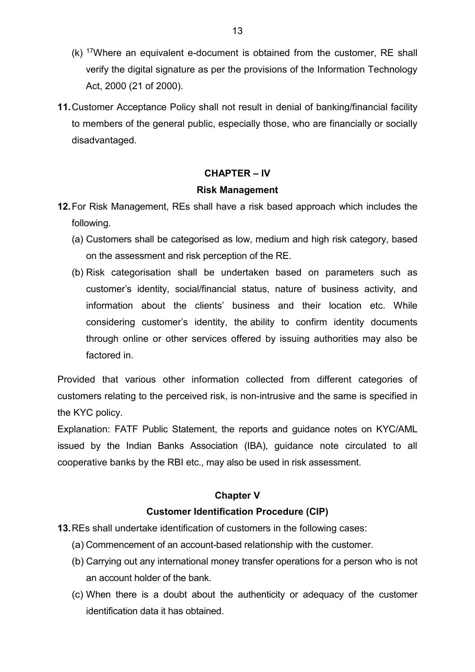- $(k)$  <sup>[17](#page-2-16)</sup>Where an equivalent e-document is obtained from the customer, RE shall verify the digital signature as per the provisions of the Information Technology Act, 2000 (21 of 2000).
- **11.**Customer Acceptance Policy shall not result in denial of banking/financial facility to members of the general public, especially those, who are financially or socially disadvantaged.

### **CHAPTER – IV**

#### **Risk Management**

- **12.**For Risk Management, REs shall have a risk based approach which includes the following.
	- (a) Customers shall be categorised as low, medium and high risk category, based on the assessment and risk perception of the RE.
	- (b) Risk categorisation shall be undertaken based on parameters such as customer's identity, social/financial status, nature of business activity, and information about the clients' business and their location etc. While considering customer's identity, the ability to confirm identity documents through online or other services offered by issuing authorities may also be factored in.

Provided that various other information collected from different categories of customers relating to the perceived risk, is non-intrusive and the same is specified in the KYC policy.

Explanation: FATF Public Statement, the reports and guidance notes on KYC/AML issued by the Indian Banks Association (IBA), guidance note circulated to all cooperative banks by the RBI etc., may also be used in risk assessment.

## **Chapter V**

### **Customer Identification Procedure (CIP)**

**13.**REs shall undertake identification of customers in the following cases:

- (a) Commencement of an account-based relationship with the customer.
- (b) Carrying out any international money transfer operations for a person who is not an account holder of the bank.
- (c) When there is a doubt about the authenticity or adequacy of the customer identification data it has obtained.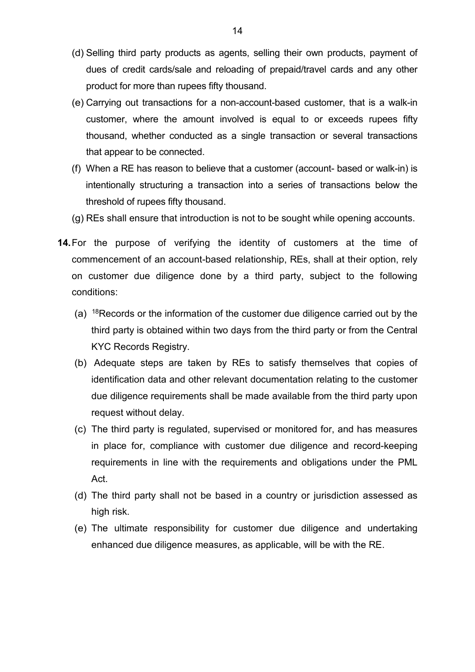- (d) Selling third party products as agents, selling their own products, payment of dues of credit cards/sale and reloading of prepaid/travel cards and any other product for more than rupees fifty thousand.
- (e) Carrying out transactions for a non-account-based customer, that is a walk-in customer, where the amount involved is equal to or exceeds rupees fifty thousand, whether conducted as a single transaction or several transactions that appear to be connected.
- (f) When a RE has reason to believe that a customer (account- based or walk-in) is intentionally structuring a transaction into a series of transactions below the threshold of rupees fifty thousand.
- (g) REs shall ensure that introduction is not to be sought while opening accounts.
- **14.**For the purpose of verifying the identity of customers at the time of commencement of an account-based relationship, REs, shall at their option, rely on customer due diligence done by a third party, subject to the following conditions:
	- (a) [18R](#page-2-17)ecords or the information of the customer due diligence carried out by the third party is obtained within two days from the third party or from the Central KYC Records Registry.
	- (b) Adequate steps are taken by REs to satisfy themselves that copies of identification data and other relevant documentation relating to the customer due diligence requirements shall be made available from the third party upon request without delay.
	- (c) The third party is regulated, supervised or monitored for, and has measures in place for, compliance with customer due diligence and record-keeping requirements in line with the requirements and obligations under the PML Act.
	- (d) The third party shall not be based in a country or jurisdiction assessed as high risk.
	- (e) The ultimate responsibility for customer due diligence and undertaking enhanced due diligence measures, as applicable, will be with the RE.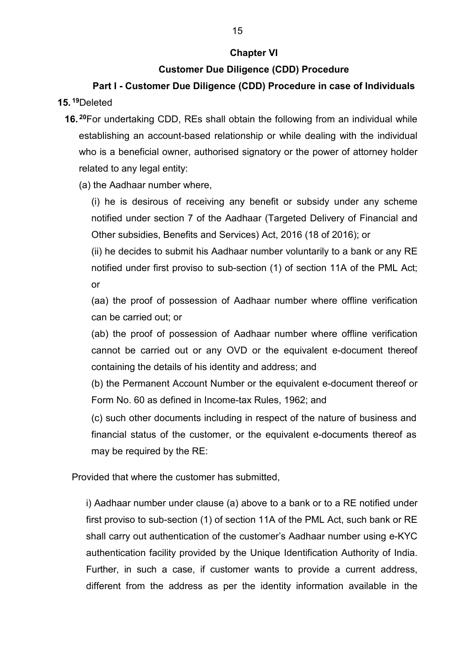### **Chapter VI**

## **Customer Due Diligence (CDD) Procedure**

## **Part I - Customer Due Diligence (CDD) Procedure in case of Individuals 15. [19](#page-2-18)**Deleted

- **16. [20](#page-2-19)**For undertaking CDD, REs shall obtain the following from an individual while establishing an account-based relationship or while dealing with the individual who is a beneficial owner, authorised signatory or the power of attorney holder related to any legal entity:
	- (a) the Aadhaar number where,

(i) he is desirous of receiving any benefit or subsidy under any scheme notified under section 7 of the Aadhaar (Targeted Delivery of Financial and Other subsidies, Benefits and Services) Act, 2016 (18 of 2016); or

(ii) he decides to submit his Aadhaar number voluntarily to a bank or any RE notified under first proviso to sub-section (1) of section 11A of the PML Act; or

(aa) the proof of possession of Aadhaar number where offline verification can be carried out; or

(ab) the proof of possession of Aadhaar number where offline verification cannot be carried out or any OVD or the equivalent e-document thereof containing the details of his identity and address; and

(b) the Permanent Account Number or the equivalent e-document thereof or Form No. 60 as defined in Income-tax Rules, 1962; and

(c) such other documents including in respect of the nature of business and financial status of the customer, or the equivalent e-documents thereof as may be required by the RE:

Provided that where the customer has submitted,

i) Aadhaar number under clause (a) above to a bank or to a RE notified under first proviso to sub-section (1) of section 11A of the PML Act, such bank or RE shall carry out authentication of the customer's Aadhaar number using e-KYC authentication facility provided by the Unique Identification Authority of India. Further, in such a case, if customer wants to provide a current address, different from the address as per the identity information available in the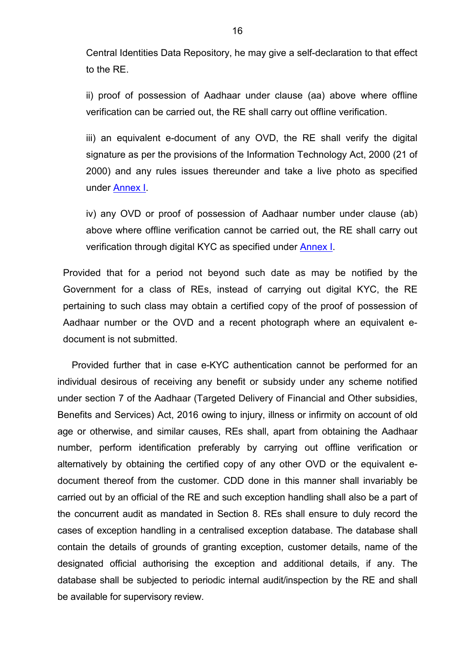Central Identities Data Repository, he may give a self-declaration to that effect to the RE.

ii) proof of possession of Aadhaar under clause (aa) above where offline verification can be carried out, the RE shall carry out offline verification.

iii) an equivalent e-document of any OVD, the RE shall verify the digital signature as per the provisions of the Information Technology Act, 2000 (21 of 2000) and any rules issues thereunder and take a live photo as specified under [Annex](#page-42-0) I.

<span id="page-15-0"></span>iv) any OVD or proof of possession of Aadhaar number under clause (ab) above where offline verification cannot be carried out, the RE shall carry out verification through digital KYC as specified under [Annex I.](#page-15-0)

Provided that for a period not beyond such date as may be notified by the Government for a class of REs, instead of carrying out digital KYC, the RE pertaining to such class may obtain a certified copy of the proof of possession of Aadhaar number or the OVD and a recent photograph where an equivalent edocument is not submitted.

Provided further that in case e-KYC authentication cannot be performed for an individual desirous of receiving any benefit or subsidy under any scheme notified under section 7 of the Aadhaar (Targeted Delivery of Financial and Other subsidies, Benefits and Services) Act, 2016 owing to injury, illness or infirmity on account of old age or otherwise, and similar causes, REs shall, apart from obtaining the Aadhaar number, perform identification preferably by carrying out offline verification or alternatively by obtaining the certified copy of any other OVD or the equivalent edocument thereof from the customer. CDD done in this manner shall invariably be carried out by an official of the RE and such exception handling shall also be a part of the concurrent audit as mandated in Section 8. REs shall ensure to duly record the cases of exception handling in a centralised exception database. The database shall contain the details of grounds of granting exception, customer details, name of the designated official authorising the exception and additional details, if any. The database shall be subjected to periodic internal audit/inspection by the RE and shall be available for supervisory review.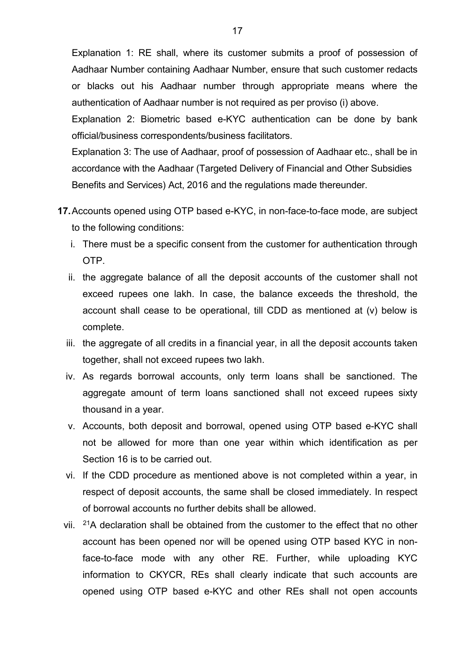Explanation 1: RE shall, where its customer submits a proof of possession of Aadhaar Number containing Aadhaar Number, ensure that such customer redacts or blacks out his Aadhaar number through appropriate means where the authentication of Aadhaar number is not required as per proviso (i) above.

Explanation 2: Biometric based e-KYC authentication can be done by bank official/business correspondents/business facilitators.

Explanation 3: The use of Aadhaar, proof of possession of Aadhaar etc., shall be in accordance with the Aadhaar (Targeted Delivery of Financial and Other Subsidies Benefits and Services) Act, 2016 and the regulations made thereunder.

- **17.**Accounts opened using OTP based e-KYC, in non-face-to-face mode, are subject to the following conditions:
	- i. There must be a specific consent from the customer for authentication through OTP.
	- ii. the aggregate balance of all the deposit accounts of the customer shall not exceed rupees one lakh. In case, the balance exceeds the threshold, the account shall cease to be operational, till CDD as mentioned at (v) below is complete.
	- iii. the aggregate of all credits in a financial year, in all the deposit accounts taken together, shall not exceed rupees two lakh.
	- iv. As regards borrowal accounts, only term loans shall be sanctioned. The aggregate amount of term loans sanctioned shall not exceed rupees sixty thousand in a year.
	- v. Accounts, both deposit and borrowal, opened using OTP based e-KYC shall not be allowed for more than one year within which identification as per Section 16 is to be carried out.
	- vi. If the CDD procedure as mentioned above is not completed within a year, in respect of deposit accounts, the same shall be closed immediately. In respect of borrowal accounts no further debits shall be allowed.
	- vii.  $21A$  declaration shall be obtained from the customer to the effect that no other account has been opened nor will be opened using OTP based KYC in nonface-to-face mode with any other RE. Further, while uploading KYC information to CKYCR, REs shall clearly indicate that such accounts are opened using OTP based e-KYC and other REs shall not open accounts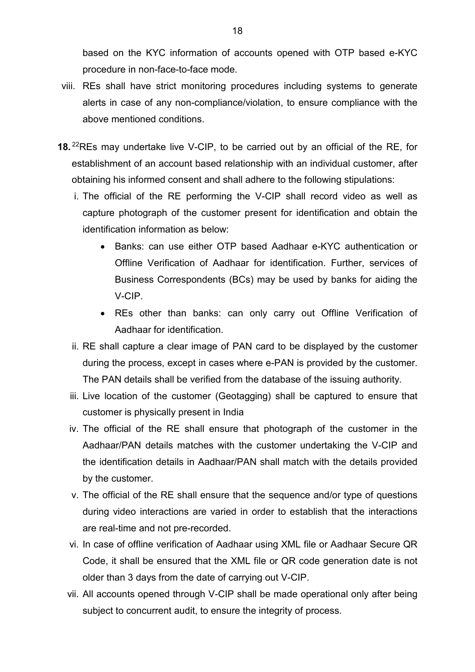based on the KYC information of accounts opened with OTP based e-KYC procedure in non-face-to-face mode.

- viii. REs shall have strict monitoring procedures including systems to generate alerts in case of any non-compliance/violation, to ensure compliance with the above mentioned conditions.
- **18.** [22](#page-2-21)REs may undertake live V-CIP, to be carried out by an official of the RE, for establishment of an account based relationship with an individual customer, after obtaining his informed consent and shall adhere to the following stipulations:
	- i. The official of the RE performing the V-CIP shall record video as well as capture photograph of the customer present for identification and obtain the identification information as below:
		- Banks: can use either OTP based Aadhaar e-KYC authentication or Offline Verification of Aadhaar for identification. Further, services of Business Correspondents (BCs) may be used by banks for aiding the V-CIP.
		- REs other than banks: can only carry out Offline Verification of Aadhaar for identification.
	- ii. RE shall capture a clear image of PAN card to be displayed by the customer during the process, except in cases where e-PAN is provided by the customer. The PAN details shall be verified from the database of the issuing authority.
	- iii. Live location of the customer (Geotagging) shall be captured to ensure that customer is physically present in India
	- iv. The official of the RE shall ensure that photograph of the customer in the Aadhaar/PAN details matches with the customer undertaking the V-CIP and the identification details in Aadhaar/PAN shall match with the details provided by the customer.
	- v. The official of the RE shall ensure that the sequence and/or type of questions during video interactions are varied in order to establish that the interactions are real-time and not pre-recorded.
	- vi. In case of offline verification of Aadhaar using XML file or Aadhaar Secure QR Code, it shall be ensured that the XML file or QR code generation date is not older than 3 days from the date of carrying out V-CIP.
	- vii. All accounts opened through V-CIP shall be made operational only after being subject to concurrent audit, to ensure the integrity of process.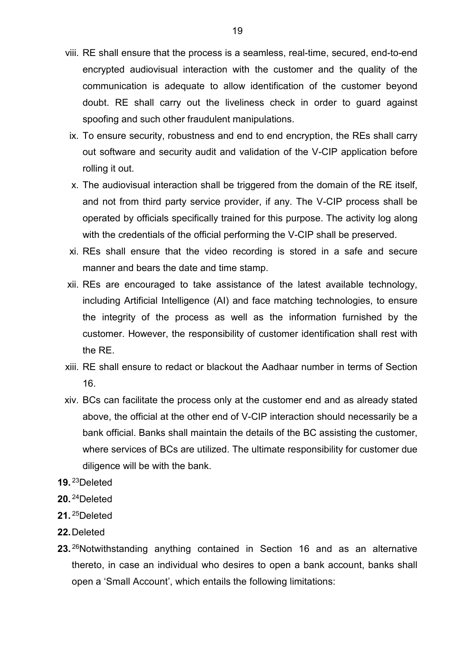- viii. RE shall ensure that the process is a seamless, real-time, secured, end-to-end encrypted audiovisual interaction with the customer and the quality of the communication is adequate to allow identification of the customer beyond doubt. RE shall carry out the liveliness check in order to guard against spoofing and such other fraudulent manipulations.
- ix. To ensure security, robustness and end to end encryption, the REs shall carry out software and security audit and validation of the V-CIP application before rolling it out.
- x. The audiovisual interaction shall be triggered from the domain of the RE itself, and not from third party service provider, if any. The V-CIP process shall be operated by officials specifically trained for this purpose. The activity log along with the credentials of the official performing the V-CIP shall be preserved.
- xi. REs shall ensure that the video recording is stored in a safe and secure manner and bears the date and time stamp.
- xii. REs are encouraged to take assistance of the latest available technology, including Artificial Intelligence (AI) and face matching technologies, to ensure the integrity of the process as well as the information furnished by the customer. However, the responsibility of customer identification shall rest with the RE.
- xiii. RE shall ensure to redact or blackout the Aadhaar number in terms of Section 16.
- xiv. BCs can facilitate the process only at the customer end and as already stated above, the official at the other end of V-CIP interaction should necessarily be a bank official. Banks shall maintain the details of the BC assisting the customer, where services of BCs are utilized. The ultimate responsibility for customer due diligence will be with the bank.
- **19.** [23](#page-2-22)Deleted
- **20.** [24](#page-2-23)Deleted
- **21.** [25](#page-2-24)Deleted
- **22.**Deleted
- **23.** [26](#page-2-25)Notwithstanding anything contained in Section 16 and as an alternative thereto, in case an individual who desires to open a bank account, banks shall open a 'Small Account', which entails the following limitations: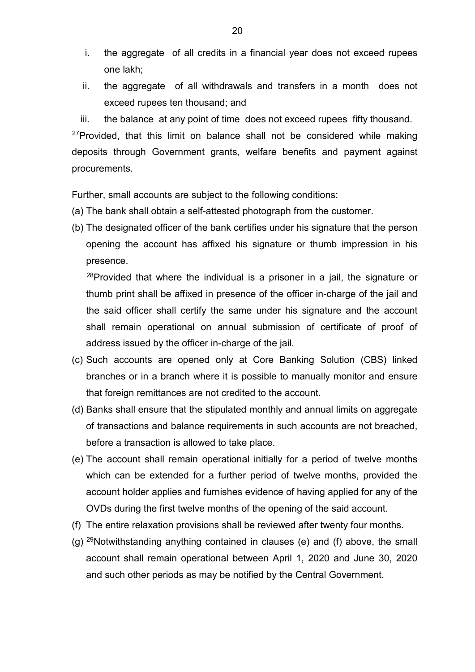- i. the aggregate of all credits in a financial year does not exceed rupees one lakh;
- ii. the aggregate of all withdrawals and transfers in a month does not exceed rupees ten thousand; and

iii. the balance at any point of time does not exceed rupees fifty thousand.  $27$ Provided, that this limit on balance shall not be considered while making deposits through Government grants, welfare benefits and payment against procurements.

Further, small accounts are subject to the following conditions:

- (a) The bank shall obtain a self-attested photograph from the customer.
- (b) The designated officer of the bank certifies under his signature that the person opening the account has affixed his signature or thumb impression in his presence.

 $28$ Provided that where the individual is a prisoner in a jail, the signature or thumb print shall be affixed in presence of the officer in-charge of the jail and the said officer shall certify the same under his signature and the account shall remain operational on annual submission of certificate of proof of address issued by the officer in-charge of the jail.

- (c) Such accounts are opened only at Core Banking Solution (CBS) linked branches or in a branch where it is possible to manually monitor and ensure that foreign remittances are not credited to the account.
- (d) Banks shall ensure that the stipulated monthly and annual limits on aggregate of transactions and balance requirements in such accounts are not breached, before a transaction is allowed to take place.
- (e) The account shall remain operational initially for a period of twelve months which can be extended for a further period of twelve months, provided the account holder applies and furnishes evidence of having applied for any of the OVDs during the first twelve months of the opening of the said account.
- (f) The entire relaxation provisions shall be reviewed after twenty four months.
- (g)  $^{29}$  $^{29}$  $^{29}$ Notwithstanding anything contained in clauses (e) and (f) above, the small account shall remain operational between April 1, 2020 and June 30, 2020 and such other periods as may be notified by the Central Government.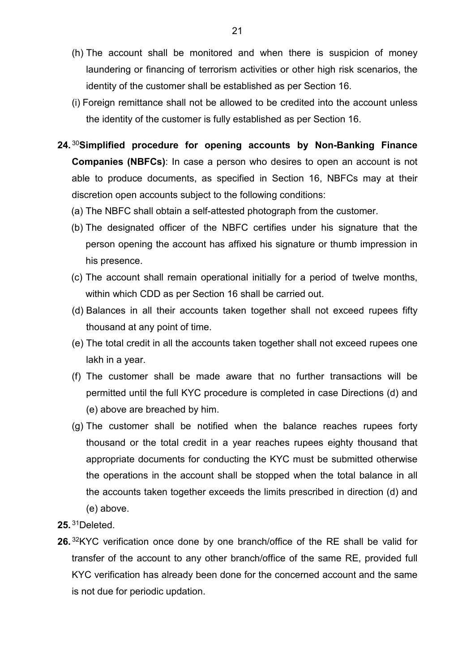- (h) The account shall be monitored and when there is suspicion of money laundering or financing of terrorism activities or other high risk scenarios, the identity of the customer shall be established as per Section 16.
- (i) Foreign remittance shall not be allowed to be credited into the account unless the identity of the customer is fully established as per Section 16.
- **24.** [30](#page-2-29)**Simplified procedure for opening accounts by Non-Banking Finance Companies (NBFCs)**: In case a person who desires to open an account is not able to produce documents, as specified in Section 16, NBFCs may at their discretion open accounts subject to the following conditions:
	- (a) The NBFC shall obtain a self-attested photograph from the customer.
	- (b) The designated officer of the NBFC certifies under his signature that the person opening the account has affixed his signature or thumb impression in his presence.
	- (c) The account shall remain operational initially for a period of twelve months, within which CDD as per Section 16 shall be carried out.
	- (d) Balances in all their accounts taken together shall not exceed rupees fifty thousand at any point of time.
	- (e) The total credit in all the accounts taken together shall not exceed rupees one lakh in a year.
	- (f) The customer shall be made aware that no further transactions will be permitted until the full KYC procedure is completed in case Directions (d) and (e) above are breached by him.
	- (g) The customer shall be notified when the balance reaches rupees forty thousand or the total credit in a year reaches rupees eighty thousand that appropriate documents for conducting the KYC must be submitted otherwise the operations in the account shall be stopped when the total balance in all the accounts taken together exceeds the limits prescribed in direction (d) and (e) above.
- **25.** [31](#page-2-30)Deleted.
- **26.** [32](#page-2-31)KYC verification once done by one branch/office of the RE shall be valid for transfer of the account to any other branch/office of the same RE, provided full KYC verification has already been done for the concerned account and the same is not due for periodic updation.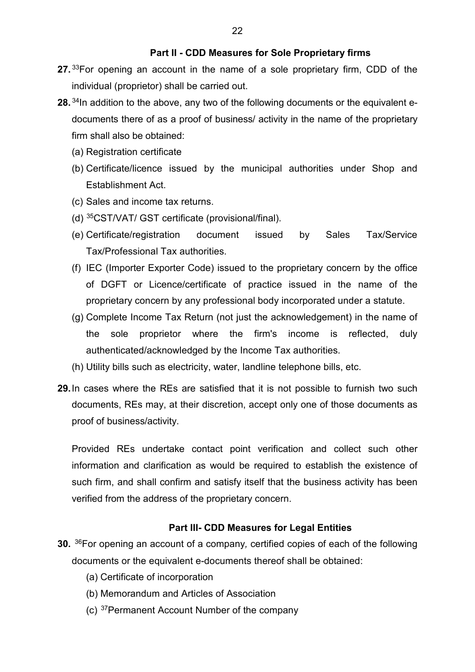#### **Part II - CDD Measures for Sole Proprietary firms**

- **27.** [33](#page-2-32)For opening an account in the name of a sole proprietary firm, CDD of the individual (proprietor) shall be carried out.
- **28.** [34](#page-3-0)In addition to the above, any two of the following documents or the equivalent edocuments there of as a proof of business/ activity in the name of the proprietary firm shall also be obtained:
	- (a) Registration certificate
	- (b) Certificate/licence issued by the municipal authorities under Shop and Establishment Act.
	- (c) Sales and income tax returns.
	- (d) [35](#page-3-1)CST/VAT/ GST certificate (provisional/final).
	- (e) Certificate/registration document issued by Sales Tax/Service Tax/Professional Tax authorities.
	- (f) IEC (Importer Exporter Code) issued to the proprietary concern by the office of DGFT or Licence/certificate of practice issued in the name of the proprietary concern by any professional body incorporated under a statute.
	- (g) Complete Income Tax Return (not just the acknowledgement) in the name of the sole proprietor where the firm's income is reflected, duly authenticated/acknowledged by the Income Tax authorities.
	- (h) Utility bills such as electricity, water, landline telephone bills, etc.
- **29.**In cases where the REs are satisfied that it is not possible to furnish two such documents, REs may, at their discretion, accept only one of those documents as proof of business/activity.

Provided REs undertake contact point verification and collect such other information and clarification as would be required to establish the existence of such firm, and shall confirm and satisfy itself that the business activity has been verified from the address of the proprietary concern.

#### **Part III- CDD Measures for Legal Entities**

- **30.** [36F](#page-3-2)or opening an account of a company*,* certified copies of each of the following documents or the equivalent e-documents thereof shall be obtained:
	- (a) Certificate of incorporation
	- (b) Memorandum and Articles of Association
	- (c) [37](#page-3-3)Permanent Account Number of the company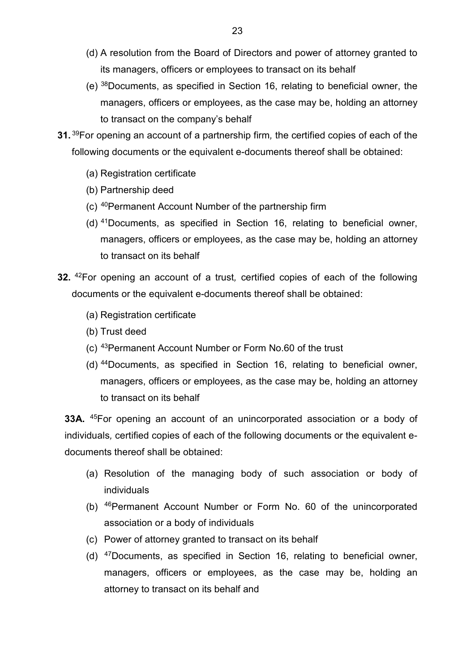- (d) A resolution from the Board of Directors and power of attorney granted to its managers, officers or employees to transact on its behalf
- (e) [38](#page-3-4)Documents, as specified in Section 16, relating to beneficial owner, the managers, officers or employees, as the case may be, holding an attorney to transact on the company's behalf
- **31.** [39](#page-3-5)For opening an account of a partnership firm*,* the certified copies of each of the following documents or the equivalent e-documents thereof shall be obtained:
	- (a) Registration certificate
	- (b) Partnership deed
	- (c) [40](#page-3-6)Permanent Account Number of the partnership firm
	- (d) [41](#page-3-7)Documents, as specified in Section 16, relating to beneficial owner, managers, officers or employees, as the case may be, holding an attorney to transact on its behalf
- **32.** [42F](#page-3-8)or opening an account of a trust*,* certified copies of each of the following documents or the equivalent e-documents thereof shall be obtained:
	- (a) Registration certificate
	- (b) Trust deed
	- (c) [43](#page-3-9)Permanent Account Number or Form No.60 of the trust
	- (d) [44](#page-3-10)Documents, as specified in Section 16, relating to beneficial owner, managers, officers or employees, as the case may be, holding an attorney to transact on its behalf

**33A.** [45F](#page-3-11)or opening an account of an unincorporated association or a body of individuals*,* certified copies of each of the following documents or the equivalent edocuments thereof shall be obtained:

- (a) Resolution of the managing body of such association or body of individuals
- (b) [46P](#page-3-12)ermanent Account Number or Form No. 60 of the unincorporated association or a body of individuals
- (c) Power of attorney granted to transact on its behalf
- (d) [47D](#page-3-13)ocuments, as specified in Section 16, relating to beneficial owner, managers, officers or employees, as the case may be, holding an attorney to transact on its behalf and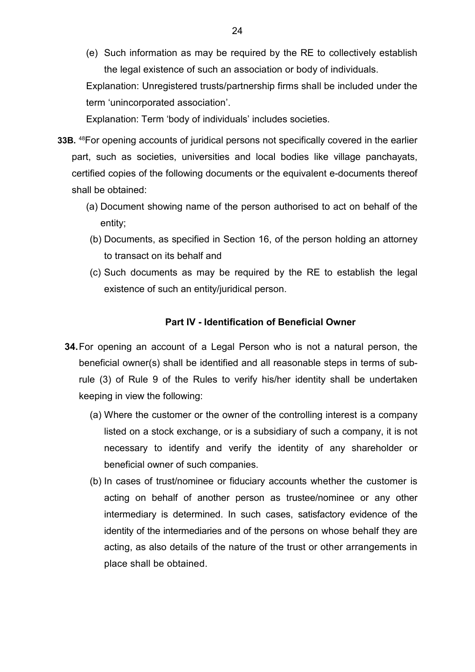(e) Such information as may be required by the RE to collectively establish the legal existence of such an association or body of individuals.

Explanation: Unregistered trusts/partnership firms shall be included under the term 'unincorporated association'.

Explanation: Term 'body of individuals' includes societies.

- **33B.** [48F](#page-3-14)or opening accounts of juridical persons not specifically covered in the earlier part, such as societies, universities and local bodies like village panchayats, certified copies of the following documents or the equivalent e-documents thereof shall be obtained:
	- (a) Document showing name of the person authorised to act on behalf of the entity;
	- (b) Documents, as specified in Section 16, of the person holding an attorney to transact on its behalf and
	- (c) Such documents as may be required by the RE to establish the legal existence of such an entity/juridical person.

#### **Part IV - Identification of Beneficial Owner**

- **34.**For opening an account of a Legal Person who is not a natural person, the beneficial owner(s) shall be identified and all reasonable steps in terms of subrule (3) of Rule 9 of the Rules to verify his/her identity shall be undertaken keeping in view the following:
	- (a) Where the customer or the owner of the controlling interest is a company listed on a stock exchange, or is a subsidiary of such a company, it is not necessary to identify and verify the identity of any shareholder or beneficial owner of such companies.
	- (b) In cases of trust/nominee or fiduciary accounts whether the customer is acting on behalf of another person as trustee/nominee or any other intermediary is determined. In such cases, satisfactory evidence of the identity of the intermediaries and of the persons on whose behalf they are acting, as also details of the nature of the trust or other arrangements in place shall be obtained.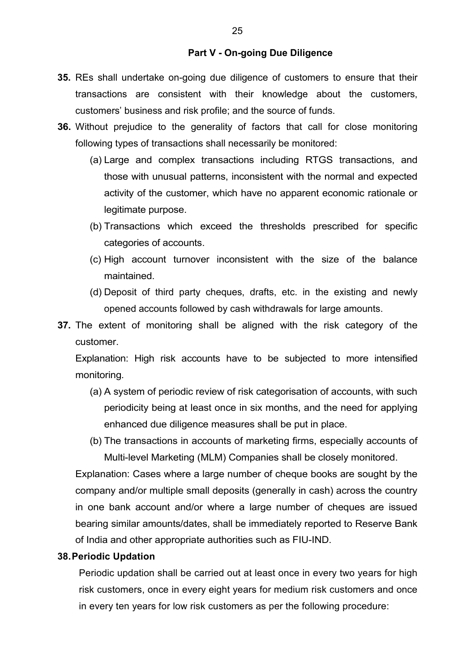#### **Part V - On-going Due Diligence**

- **35.** REs shall undertake on-going due diligence of customers to ensure that their transactions are consistent with their knowledge about the customers, customers' business and risk profile; and the source of funds.
- **36.** Without prejudice to the generality of factors that call for close monitoring following types of transactions shall necessarily be monitored:
	- (a) Large and complex transactions including RTGS transactions, and those with unusual patterns, inconsistent with the normal and expected activity of the customer, which have no apparent economic rationale or legitimate purpose.
	- (b) Transactions which exceed the thresholds prescribed for specific categories of accounts.
	- (c) High account turnover inconsistent with the size of the balance maintained.
	- (d) Deposit of third party cheques, drafts, etc. in the existing and newly opened accounts followed by cash withdrawals for large amounts.
- **37.** The extent of monitoring shall be aligned with the risk category of the customer.

Explanation: High risk accounts have to be subjected to more intensified monitoring*.* 

- (a) A system of periodic review of risk categorisation of accounts, with such periodicity being at least once in six months, and the need for applying enhanced due diligence measures shall be put in place.
- (b) The transactions in accounts of marketing firms, especially accounts of Multi-level Marketing (MLM) Companies shall be closely monitored.

Explanation: Cases where a large number of cheque books are sought by the company and/or multiple small deposits (generally in cash) across the country in one bank account and/or where a large number of cheques are issued bearing similar amounts/dates, shall be immediately reported to Reserve Bank of India and other appropriate authorities such as FIU-IND.

#### **38.Periodic Updation**

Periodic updation shall be carried out at least once in every two years for high risk customers, once in every eight years for medium risk customers and once in every ten years for low risk customers as per the following procedure: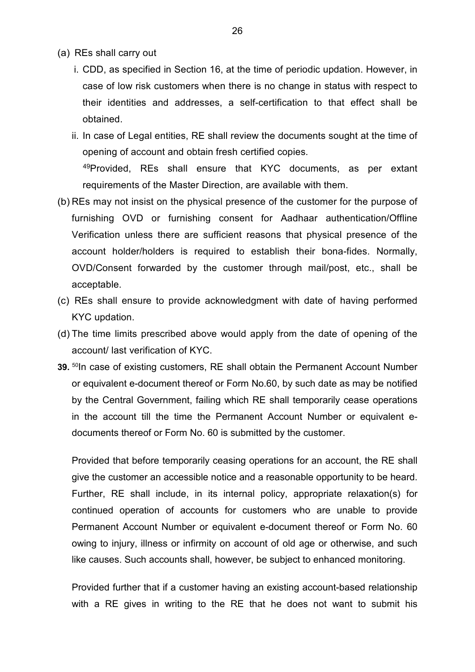- (a) REs shall carry out
	- i. CDD, as specified in Section 16, at the time of periodic updation. However, in case of low risk customers when there is no change in status with respect to their identities and addresses, a self-certification to that effect shall be obtained.
	- ii. In case of Legal entities, RE shall review the documents sought at the time of opening of account and obtain fresh certified copies. <sup>49</sup>Provided, REs shall ensure that KYC documents, as per extant requirements of the Master Direction, are available with them.
- (b) REs may not insist on the physical presence of the customer for the purpose of furnishing OVD or furnishing consent for Aadhaar authentication/Offline Verification unless there are sufficient reasons that physical presence of the account holder/holders is required to establish their bona-fides. Normally, OVD/Consent forwarded by the customer through mail/post, etc., shall be acceptable.
- (c) REs shall ensure to provide acknowledgment with date of having performed KYC updation.
- (d) The time limits prescribed above would apply from the date of opening of the account/ last verification of KYC.
- **39.** <sup>[50](#page-3-16)</sup>In case of existing customers, RE shall obtain the Permanent Account Number or equivalent e-document thereof or Form No.60, by such date as may be notified by the Central Government, failing which RE shall temporarily cease operations in the account till the time the Permanent Account Number or equivalent edocuments thereof or Form No. 60 is submitted by the customer.

Provided that before temporarily ceasing operations for an account, the RE shall give the customer an accessible notice and a reasonable opportunity to be heard. Further, RE shall include, in its internal policy, appropriate relaxation(s) for continued operation of accounts for customers who are unable to provide Permanent Account Number or equivalent e-document thereof or Form No. 60 owing to injury, illness or infirmity on account of old age or otherwise, and such like causes. Such accounts shall, however, be subject to enhanced monitoring.

Provided further that if a customer having an existing account-based relationship with a RE gives in writing to the RE that he does not want to submit his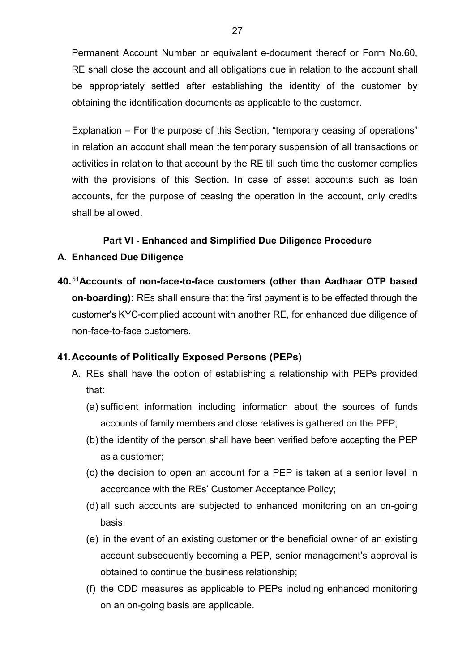Permanent Account Number or equivalent e-document thereof or Form No.60, RE shall close the account and all obligations due in relation to the account shall be appropriately settled after establishing the identity of the customer by obtaining the identification documents as applicable to the customer.

Explanation – For the purpose of this Section, "temporary ceasing of operations" in relation an account shall mean the temporary suspension of all transactions or activities in relation to that account by the RE till such time the customer complies with the provisions of this Section. In case of asset accounts such as loan accounts, for the purpose of ceasing the operation in the account, only credits shall be allowed.

### **Part VI - Enhanced and Simplified Due Diligence Procedure**

### **A. Enhanced Due Diligence**

**40.**[51](#page-3-17)**Accounts of non-face-to-face customers (other than Aadhaar OTP based on-boarding):** REs shall ensure that the first payment is to be effected through the customer's KYC-complied account with another RE, for enhanced due diligence of non-face-to-face customers.

## **41.Accounts of Politically Exposed Persons (PEPs)**

- A. REs shall have the option of establishing a relationship with PEPs provided that:
	- (a) sufficient information including information about the sources of funds accounts of family members and close relatives is gathered on the PEP;
	- (b) the identity of the person shall have been verified before accepting the PEP as a customer;
	- (c) the decision to open an account for a PEP is taken at a senior level in accordance with the REs' Customer Acceptance Policy;
	- (d) all such accounts are subjected to enhanced monitoring on an on-going basis;
	- (e) in the event of an existing customer or the beneficial owner of an existing account subsequently becoming a PEP, senior management's approval is obtained to continue the business relationship;
	- (f) the CDD measures as applicable to PEPs including enhanced monitoring on an on-going basis are applicable.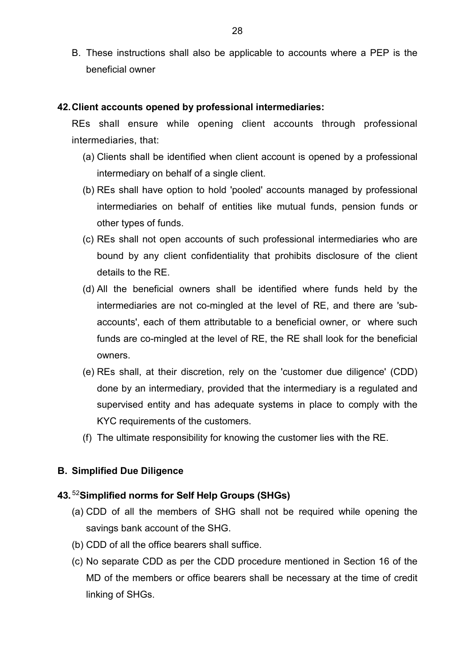B. These instructions shall also be applicable to accounts where a PEP is the beneficial owner

#### **42.Client accounts opened by professional intermediaries:**

REs shall ensure while opening client accounts through professional intermediaries, that:

- (a) Clients shall be identified when client account is opened by a professional intermediary on behalf of a single client.
- (b) REs shall have option to hold 'pooled' accounts managed by professional intermediaries on behalf of entities like mutual funds, pension funds or other types of funds.
- (c) REs shall not open accounts of such professional intermediaries who are bound by any client confidentiality that prohibits disclosure of the client details to the RE.
- (d) All the beneficial owners shall be identified where funds held by the intermediaries are not co-mingled at the level of RE, and there are 'subaccounts', each of them attributable to a beneficial owner, or where such funds are co-mingled at the level of RE, the RE shall look for the beneficial owners.
- (e) REs shall, at their discretion, rely on the 'customer due diligence' (CDD) done by an intermediary, provided that the intermediary is a regulated and supervised entity and has adequate systems in place to comply with the KYC requirements of the customers.
- (f) The ultimate responsibility for knowing the customer lies with the RE.

### **B. Simplified Due Diligence**

#### **43.** [52](#page-3-18)**Simplified norms for Self Help Groups (SHGs)**

- (a) CDD of all the members of SHG shall not be required while opening the savings bank account of the SHG.
- (b) CDD of all the office bearers shall suffice.
- (c) No separate CDD as per the CDD procedure mentioned in Section 16 of the MD of the members or office bearers shall be necessary at the time of credit linking of SHGs.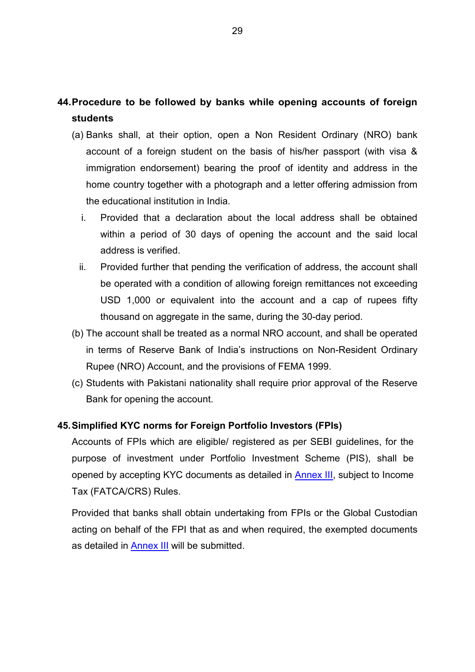## **44.Procedure to be followed by banks while opening accounts of foreign students**

- (a) Banks shall, at their option, open a Non Resident Ordinary (NRO) bank account of a foreign student on the basis of his/her passport (with visa & immigration endorsement) bearing the proof of identity and address in the home country together with a photograph and a letter offering admission from the educational institution in India.
	- i. Provided that a declaration about the local address shall be obtained within a period of 30 days of opening the account and the said local address is verified.
	- ii. Provided further that pending the verification of address, the account shall be operated with a condition of allowing foreign remittances not exceeding USD 1,000 or equivalent into the account and a cap of rupees fifty thousand on aggregate in the same, during the 30-day period.
- (b) The account shall be treated as a normal NRO account, and shall be operated in terms of Reserve Bank of India's instructions on Non-Resident Ordinary Rupee (NRO) Account, and the provisions of FEMA 1999.
- (c) Students with Pakistani nationality shall require prior approval of the Reserve Bank for opening the account.

### **45.Simplified KYC norms for Foreign Portfolio Investors (FPIs)**

Accounts of FPIs which are eligible/ registered as per SEBI guidelines, for the purpose of investment under Portfolio Investment Scheme (PIS), shall be opened by accepting KYC documents as detailed in [Annex III,](#page-53-0) subject to Income Tax (FATCA/CRS) Rules.

Provided that banks shall obtain undertaking from FPIs or the Global Custodian acting on behalf of the FPI that as and when required, the exempted documents as detailed in [Annex III](#page-53-0) will be submitted.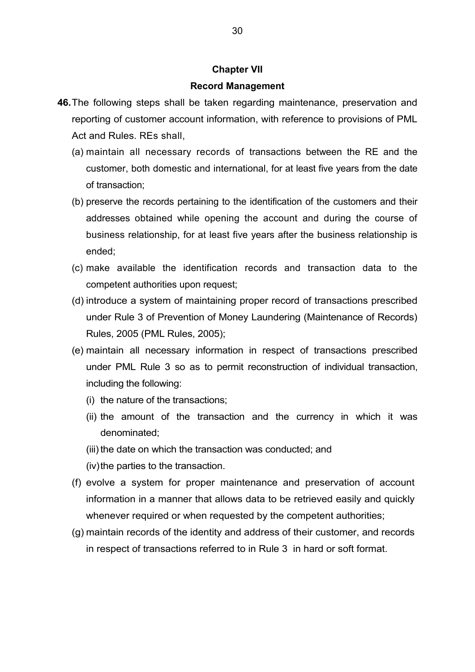#### **Chapter VII**

#### **Record Management**

- **46.**The following steps shall be taken regarding maintenance, preservation and reporting of customer account information, with reference to provisions of PML Act and Rules. REs shall,
	- (a) maintain all necessary records of transactions between the RE and the customer, both domestic and international, for at least five years from the date of transaction;
	- (b) preserve the records pertaining to the identification of the customers and their addresses obtained while opening the account and during the course of business relationship, for at least five years after the business relationship is ended;
	- (c) make available the identification records and transaction data to the competent authorities upon request;
	- (d) introduce a system of maintaining proper record of transactions prescribed under Rule 3 of Prevention of Money Laundering (Maintenance of Records) Rules, 2005 (PML Rules, 2005);
	- (e) maintain all necessary information in respect of transactions prescribed under PML Rule 3 so as to permit reconstruction of individual transaction, including the following:
		- (i) the nature of the transactions;
		- (ii) the amount of the transaction and the currency in which it was denominated;
		- (iii) the date on which the transaction was conducted; and
		- (iv) the parties to the transaction.
	- (f) evolve a system for proper maintenance and preservation of account information in a manner that allows data to be retrieved easily and quickly whenever required or when requested by the competent authorities;
	- (g) maintain records of the identity and address of their customer, and records in respect of transactions referred to in Rule 3 in hard or soft format.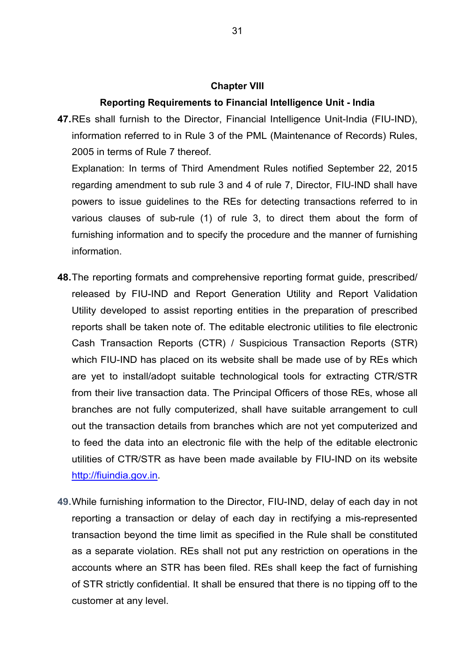#### **Chapter VIII**

#### **Reporting Requirements to Financial Intelligence Unit - India**

**47.**REs shall furnish to the Director, Financial Intelligence Unit-India (FIU-IND), information referred to in Rule 3 of the PML (Maintenance of Records) Rules, 2005 in terms of Rule 7 thereof.

Explanation: In terms of Third Amendment Rules notified September 22, 2015 regarding amendment to sub rule 3 and 4 of rule 7, Director, FIU-IND shall have powers to issue guidelines to the REs for detecting transactions referred to in various clauses of sub-rule (1) of rule 3, to direct them about the form of furnishing information and to specify the procedure and the manner of furnishing information.

- **48.**The reporting formats and comprehensive reporting format guide, prescribed/ released by FIU-IND and Report Generation Utility and Report Validation Utility developed to assist reporting entities in the preparation of prescribed reports shall be taken note of. The editable electronic utilities to file electronic Cash Transaction Reports (CTR) / Suspicious Transaction Reports (STR) which FIU-IND has placed on its website shall be made use of by REs which are yet to install/adopt suitable technological tools for extracting CTR/STR from their live transaction data. The Principal Officers of those REs, whose all branches are not fully computerized, shall have suitable arrangement to cull out the transaction details from branches which are not yet computerized and to feed the data into an electronic file with the help of the editable electronic utilities of CTR/STR as have been made available by FIU-IND on its website [http://fiuindia.gov.in.](http://fiuindia.gov.in/)
- **49.**While furnishing information to the Director, FIU-IND, delay of each day in not reporting a transaction or delay of each day in rectifying a mis-represented transaction beyond the time limit as specified in the Rule shall be constituted as a separate violation. REs shall not put any restriction on operations in the accounts where an STR has been filed. REs shall keep the fact of furnishing of STR strictly confidential. It shall be ensured that there is no tipping off to the customer at any level.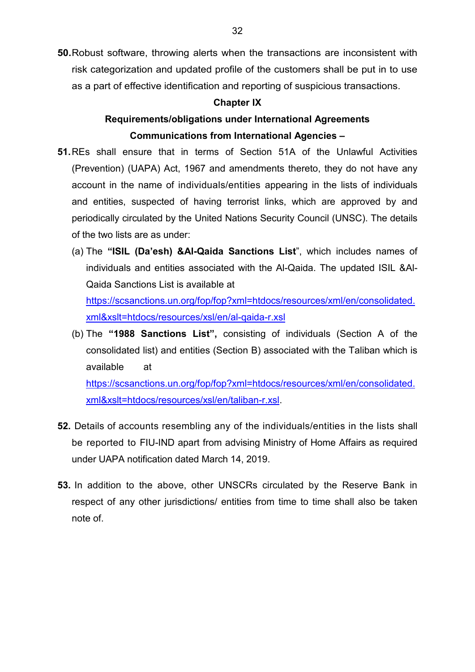**50.**Robust software, throwing alerts when the transactions are inconsistent with risk categorization and updated profile of the customers shall be put in to use as a part of effective identification and reporting of suspicious transactions.

#### **Chapter IX**

## **Requirements/obligations under International Agreements Communications from International Agencies –**

- **51.**REs shall ensure that in terms of Section 51A of the Unlawful Activities (Prevention) (UAPA) Act, 1967 and amendments thereto, they do not have any account in the name of individuals/entities appearing in the lists of individuals and entities, suspected of having terrorist links, which are approved by and periodically circulated by the United Nations Security Council (UNSC). The details of the two lists are as under:
	- (a) The **"ISIL (Da'esh) &Al-Qaida Sanctions List**", which includes names of individuals and entities associated with the Al-Qaida. The updated ISIL &Al-Qaida Sanctions List is available at [https://scsanctions.un.org/fop/fop?xml=htdocs/resources/xml/en/consolidated.](https://scsanctions.un.org/fop/fop?xml=htdocs/resources/xml/en/consolidated.xml&xslt=htdocs/resources/xsl/en/al-qaida-r.xsl) [xml&xslt=htdocs/resources/xsl/en/al-qaida-r.xsl](https://scsanctions.un.org/fop/fop?xml=htdocs/resources/xml/en/consolidated.xml&xslt=htdocs/resources/xsl/en/al-qaida-r.xsl)
	- (b) The **"1988 Sanctions List",** consisting of individuals (Section A of the consolidated list) and entities (Section B) associated with the Taliban which is available at [https://scsanctions.un.org/fop/fop?xml=htdocs/resources/xml/en/consolidated.](https://scsanctions.un.org/fop/fop?xml=htdocs/resources/xml/en/consolidated.xml&xslt=htdocs/resources/xsl/en/taliban-r.xsl) [xml&xslt=htdocs/resources/xsl/en/taliban-r.xsl.](https://scsanctions.un.org/fop/fop?xml=htdocs/resources/xml/en/consolidated.xml&xslt=htdocs/resources/xsl/en/taliban-r.xsl)
- **52.** Details of accounts resembling any of the individuals/entities in the lists shall be reported to FIU-IND apart from advising Ministry of Home Affairs as required under UAPA notification dated March 14, 2019.
- **53.** In addition to the above, other UNSCRs circulated by the Reserve Bank in respect of any other jurisdictions/ entities from time to time shall also be taken note of.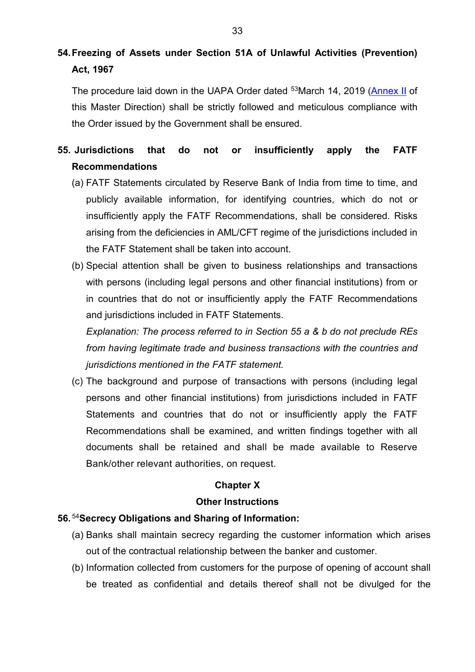# **54.Freezing of Assets under Section 51A of Unlawful Activities (Prevention) Act, 1967**

The procedure laid down in the UAPA Order dated <sup>53</sup>March 14, 2019 [\(Annex II](#page-15-0) of this Master Direction) shall be strictly followed and meticulous compliance with the Order issued by the Government shall be ensured.

## **55. Jurisdictions that do not or insufficiently apply the FATF Recommendations**

- (a) FATF Statements circulated by Reserve Bank of India from time to time, and publicly available information, for identifying countries, which do not or insufficiently apply the FATF Recommendations, shall be considered. Risks arising from the deficiencies in AML/CFT regime of the jurisdictions included in the FATF Statement shall be taken into account.
- (b) Special attention shall be given to business relationships and transactions with persons (including legal persons and other financial institutions) from or in countries that do not or insufficiently apply the FATF Recommendations and jurisdictions included in FATF Statements.

*Explanation: The process referred to in Section 55 a & b do not preclude REs from having legitimate trade and business transactions with the countries and jurisdictions mentioned in the FATF statement.* 

(c) The background and purpose of transactions with persons (including legal persons and other financial institutions) from jurisdictions included in FATF Statements and countries that do not or insufficiently apply the FATF Recommendations shall be examined, and written findings together with all documents shall be retained and shall be made available to Reserve Bank/other relevant authorities, on request.

## **Chapter X**

### **Other Instructions**

## **56.** [54](#page-3-20)**Secrecy Obligations and Sharing of Information:**

- (a) Banks shall maintain secrecy regarding the customer information which arises out of the contractual relationship between the banker and customer.
- (b) Information collected from customers for the purpose of opening of account shall be treated as confidential and details thereof shall not be divulged for the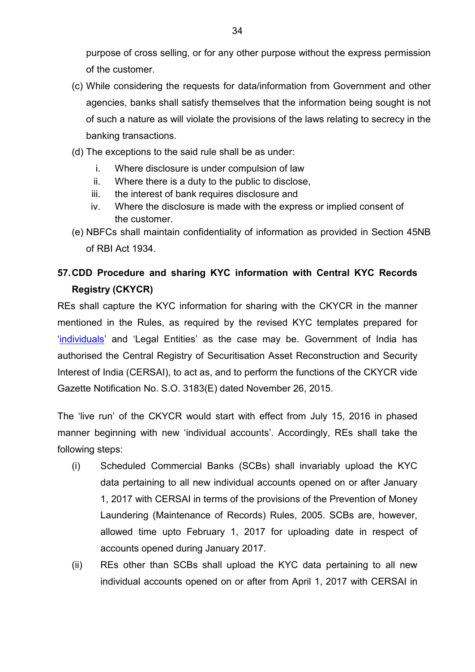purpose of cross selling, or for any other purpose without the express permission of the customer.

- (c) While considering the requests for data/information from Government and other agencies, banks shall satisfy themselves that the information being sought is not of such a nature as will violate the provisions of the laws relating to secrecy in the banking transactions.
- (d) The exceptions to the said rule shall be as under:
	- i. Where disclosure is under compulsion of law
	- ii. Where there is a duty to the public to disclose,
	- iii. the interest of bank requires disclosure and
	- iv. Where the disclosure is made with the express or implied consent of the customer.
- (e) NBFCs shall maintain confidentiality of information as provided in Section 45NB of RBI Act 1934.

## **57.CDD Procedure and sharing KYC information with Central KYC Records Registry (CKYCR)**

REs shall capture the KYC information for sharing with the CKYCR in the manner mentioned in the Rules, as required by the revised KYC templates prepared for ['individuals'](http://rbidocs.rbi.org.in/rdocs/content/pdfs/KYCIND261115_A1.pdf) and 'Legal Entities' as the case may be. Government of India has authorised the Central Registry of Securitisation Asset Reconstruction and Security Interest of India (CERSAI), to act as, and to perform the functions of the CKYCR vide Gazette Notification No. S.O. 3183(E) dated November 26, 2015.

The 'live run' of the CKYCR would start with effect from July 15, 2016 in phased manner beginning with new 'individual accounts'. Accordingly, REs shall take the following steps:

- (i) Scheduled Commercial Banks (SCBs) shall invariably upload the KYC data pertaining to all new individual accounts opened on or after January 1, 2017 with CERSAI in terms of the provisions of the Prevention of Money Laundering (Maintenance of Records) Rules, 2005. SCBs are, however, allowed time upto February 1, 2017 for uploading date in respect of accounts opened during January 2017.
- (ii) REs other than SCBs shall upload the KYC data pertaining to all new individual accounts opened on or after from April 1, 2017 with CERSAI in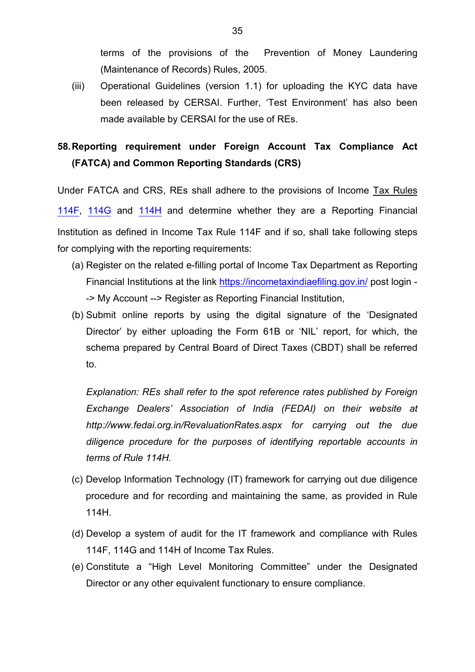terms of the provisions of the Prevention of Money Laundering (Maintenance of Records) Rules, 2005.

(iii) Operational Guidelines (version 1.1) for uploading the KYC data have been released by CERSAI. Further, 'Test Environment' has also been made available by CERSAI for the use of REs.

## **58.Reporting requirement under Foreign Account Tax Compliance Act (FATCA) and Common Reporting Standards (CRS)**

Under FATCA and CRS, REs shall adhere to the provisions of Income Tax Rules [114F](http://www.incometaxindia.gov.in/Rules/Income-Tax%20Rules/ITR114F.htm), [114G](http://www.incometaxindia.gov.in/Rules/Income-Tax%20Rules/ITR114g.htm) and [114H](http://www.incometaxindia.gov.in/Rules/Income-Tax%20Rules/ITR114h.htm) and determine whether they are a Reporting Financial Institution as defined in Income Tax Rule 114F and if so, shall take following steps for complying with the reporting requirements:

- (a) Register on the related e-filling portal of Income Tax Department as Reporting Financial Institutions at the link<https://incometaxindiaefiling.gov.in/> post login --> My Account --> Register as Reporting Financial Institution,
- (b) Submit online reports by using the digital signature of the 'Designated Director' by either uploading the Form 61B or 'NIL' report, for which, the schema prepared by Central Board of Direct Taxes (CBDT) shall be referred to.

*Explanation: REs shall refer to the spot reference rates published by Foreign Exchange Dealers' Association of India (FEDAI) on their website at http://www.fedai.org.in/RevaluationRates.aspx for carrying out the due diligence procedure for the purposes of identifying reportable accounts in terms of Rule 114H.*

- (c) Develop Information Technology (IT) framework for carrying out due diligence procedure and for recording and maintaining the same, as provided in Rule 114H.
- (d) Develop a system of audit for the IT framework and compliance with Rules 114F, 114G and 114H of Income Tax Rules.
- (e) Constitute a "High Level Monitoring Committee" under the Designated Director or any other equivalent functionary to ensure compliance.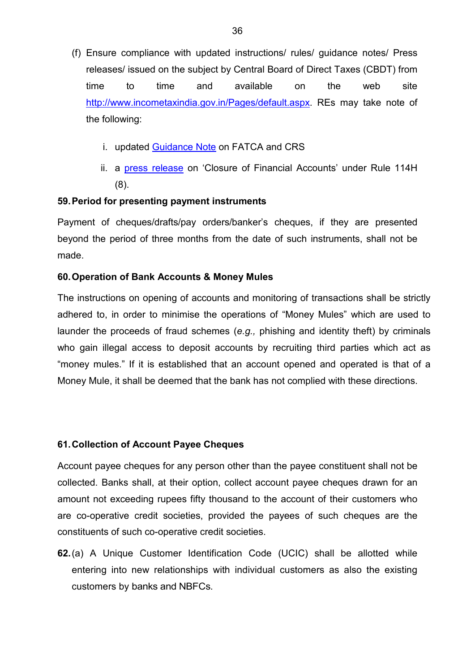- (f) Ensure compliance with updated instructions/ rules/ guidance notes/ Press releases/ issued on the subject by Central Board of Direct Taxes (CBDT) from time to time and available on the web site [http://www.incometaxindia.gov.in/Pages/default.aspx.](https://www.incometaxindia.gov.in/Pages/default.aspx) REs may take note of the following:
	- i. updated [Guidance Note](http://www.incometaxindia.gov.in/News/Guidance-Note-on-FATCA-and-CRS-May-2016.pdf) on FATCA and CRS
	- ii. a **press release** on 'Closure of Financial Accounts' under Rule 114H (8).

### **59.Period for presenting payment instruments**

Payment of cheques/drafts/pay orders/banker's cheques, if they are presented beyond the period of three months from the date of such instruments, shall not be made.

### **60.Operation of Bank Accounts & Money Mules**

The instructions on opening of accounts and monitoring of transactions shall be strictly adhered to, in order to minimise the operations of "Money Mules" which are used to launder the proceeds of fraud schemes (*e.g.,* phishing and identity theft) by criminals who gain illegal access to deposit accounts by recruiting third parties which act as "money mules." If it is established that an account opened and operated is that of a Money Mule, it shall be deemed that the bank has not complied with these directions.

### **61.Collection of Account Payee Cheques**

Account payee cheques for any person other than the payee constituent shall not be collected. Banks shall, at their option, collect account payee cheques drawn for an amount not exceeding rupees fifty thousand to the account of their customers who are co-operative credit societies, provided the payees of such cheques are the constituents of such co-operative credit societies.

**62.**(a) A Unique Customer Identification Code (UCIC) shall be allotted while entering into new relationships with individual customers as also the existing customers by banks and NBFCs.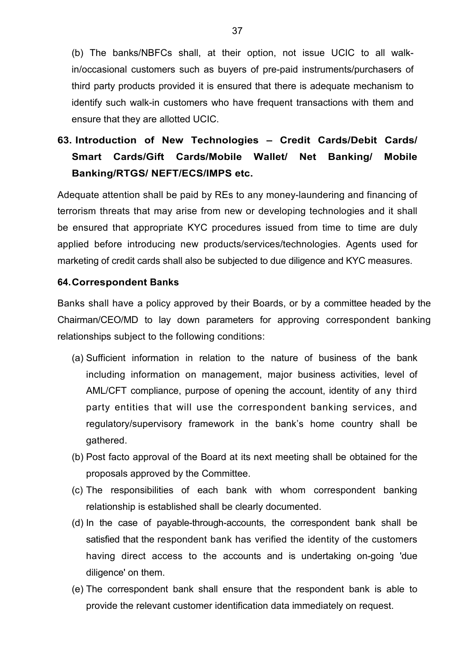(b) The banks/NBFCs shall, at their option, not issue UCIC to all walkin/occasional customers such as buyers of pre-paid instruments/purchasers of third party products provided it is ensured that there is adequate mechanism to identify such walk-in customers who have frequent transactions with them and ensure that they are allotted UCIC.

# **63. Introduction of New Technologies – Credit Cards/Debit Cards/ Smart Cards/Gift Cards/Mobile Wallet/ Net Banking/ Mobile Banking/RTGS/ NEFT/ECS/IMPS etc.**

Adequate attention shall be paid by REs to any money-laundering and financing of terrorism threats that may arise from new or developing technologies and it shall be ensured that appropriate KYC procedures issued from time to time are duly applied before introducing new products/services/technologies. Agents used for marketing of credit cards shall also be subjected to due diligence and KYC measures.

#### **64.Correspondent Banks**

Banks shall have a policy approved by their Boards, or by a committee headed by the Chairman/CEO/MD to lay down parameters for approving correspondent banking relationships subject to the following conditions:

- (a) Sufficient information in relation to the nature of business of the bank including information on management, major business activities, level of AML/CFT compliance, purpose of opening the account, identity of any third party entities that will use the correspondent banking services, and regulatory/supervisory framework in the bank's home country shall be gathered.
- (b) Post facto approval of the Board at its next meeting shall be obtained for the proposals approved by the Committee.
- (c) The responsibilities of each bank with whom correspondent banking relationship is established shall be clearly documented.
- (d) In the case of payable-through-accounts, the correspondent bank shall be satisfied that the respondent bank has verified the identity of the customers having direct access to the accounts and is undertaking on-going 'due diligence' on them.
- (e) The correspondent bank shall ensure that the respondent bank is able to provide the relevant customer identification data immediately on request.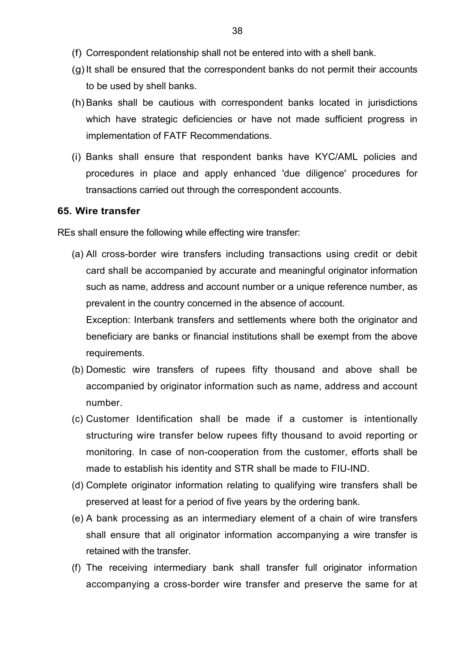- (f) Correspondent relationship shall not be entered into with a shell bank.
- $(g)$  It shall be ensured that the correspondent banks do not permit their accounts to be used by shell banks.
- (h)Banks shall be cautious with correspondent banks located in jurisdictions which have strategic deficiencies or have not made sufficient progress in implementation of FATF Recommendations.
- (i) Banks shall ensure that respondent banks have KYC/AML policies and procedures in place and apply enhanced 'due diligence' procedures for transactions carried out through the correspondent accounts.

#### **65. Wire transfer**

REs shall ensure the following while effecting wire transfer:

(a) All cross-border wire transfers including transactions using credit or debit card shall be accompanied by accurate and meaningful originator information such as name, address and account number or a unique reference number, as prevalent in the country concerned in the absence of account.

Exception: Interbank transfers and settlements where both the originator and beneficiary are banks or financial institutions shall be exempt from the above requirements.

- (b) Domestic wire transfers of rupees fifty thousand and above shall be accompanied by originator information such as name, address and account number.
- (c) Customer Identification shall be made if a customer is intentionally structuring wire transfer below rupees fifty thousand to avoid reporting or monitoring. In case of non-cooperation from the customer, efforts shall be made to establish his identity and STR shall be made to FIU-IND.
- (d) Complete originator information relating to qualifying wire transfers shall be preserved at least for a period of five years by the ordering bank.
- (e) A bank processing as an intermediary element of a chain of wire transfers shall ensure that all originator information accompanying a wire transfer is retained with the transfer.
- (f) The receiving intermediary bank shall transfer full originator information accompanying a cross-border wire transfer and preserve the same for at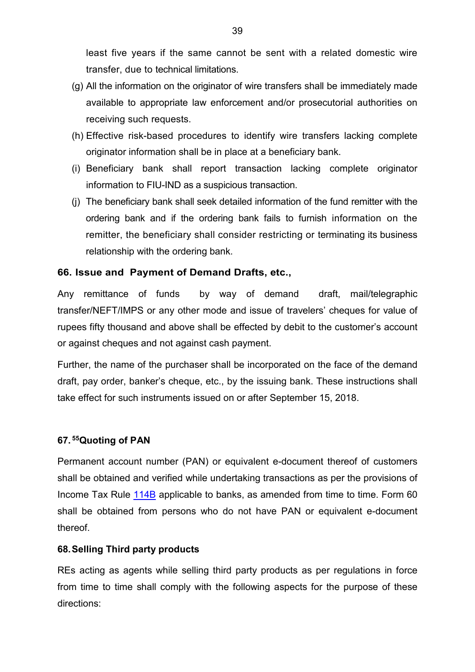least five years if the same cannot be sent with a related domestic wire transfer, due to technical limitations.

- (g) All the information on the originator of wire transfers shall be immediately made available to appropriate law enforcement and/or prosecutorial authorities on receiving such requests.
- (h) Effective risk-based procedures to identify wire transfers lacking complete originator information shall be in place at a beneficiary bank.
- (i) Beneficiary bank shall report transaction lacking complete originator information to FIU-IND as a suspicious transaction.
- (j) The beneficiary bank shall seek detailed information of the fund remitter with the ordering bank and if the ordering bank fails to furnish information on the remitter, the beneficiary shall consider restricting or terminating its business relationship with the ordering bank.

### **66. Issue and Payment of Demand Drafts, etc.,**

Any remittance of funds by way of demand draft, mail/telegraphic transfer/NEFT/IMPS or any other mode and issue of travelers' cheques for value of rupees fifty thousand and above shall be effected by debit to the customer's account or against cheques and not against cash payment.

Further, the name of the purchaser shall be incorporated on the face of the demand draft, pay order, banker's cheque, etc., by the issuing bank. These instructions shall take effect for such instruments issued on or after September 15, 2018.

### **67. [55](#page-3-21)Quoting of PAN**

Permanent account number (PAN) or equivalent e-document thereof of customers shall be obtained and verified while undertaking transactions as per the provisions of Income Tax Rule [114B](http://www.incometaxindia.gov.in/_layouts/15/dit/Pages/viewer.aspx?grp=Rule&cname=CMSID&cval=103120000000007541&searchFilter=%5b%7b%22CrawledPropertyKey%22:0,%22Value%22:%22Income-tax%20Rules%22,%22SearchOperand%22:2%7d,%7b%22CrawledPropertyKey%22:1,%22Value%22:%22Rule%22,%22SearchOperand%22:2%7d%5d&k=&IsDlg=0) applicable to banks, as amended from time to time. Form 60 shall be obtained from persons who do not have PAN or equivalent e-document thereof.

### **68.Selling Third party products**

REs acting as agents while selling third party products as per regulations in force from time to time shall comply with the following aspects for the purpose of these directions: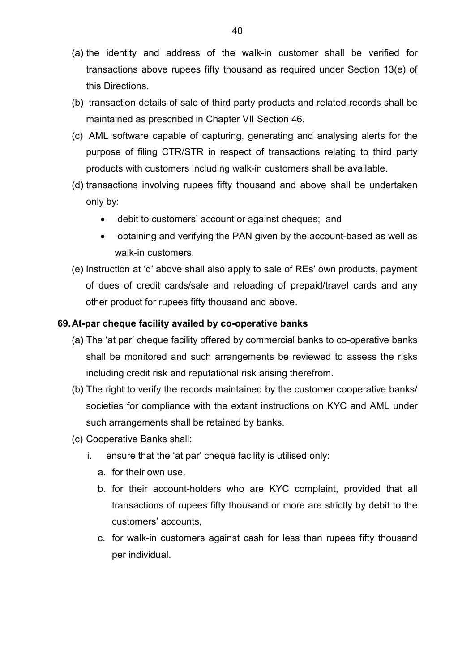- (a) the identity and address of the walk-in customer shall be verified for transactions above rupees fifty thousand as required under Section 13(e) of this Directions.
- (b) transaction details of sale of third party products and related records shall be maintained as prescribed in Chapter VII Section 46.
- (c) AML software capable of capturing, generating and analysing alerts for the purpose of filing CTR/STR in respect of transactions relating to third party products with customers including walk-in customers shall be available.
- (d) transactions involving rupees fifty thousand and above shall be undertaken only by:
	- debit to customers' account or against cheques; and
	- obtaining and verifying the PAN given by the account-based as well as walk-in customers.
- (e) Instruction at 'd' above shall also apply to sale of REs' own products, payment of dues of credit cards/sale and reloading of prepaid/travel cards and any other product for rupees fifty thousand and above.

#### **69.At-par cheque facility availed by co-operative banks**

- (a) The 'at par' cheque facility offered by commercial banks to co-operative banks shall be monitored and such arrangements be reviewed to assess the risks including credit risk and reputational risk arising therefrom.
- (b) The right to verify the records maintained by the customer cooperative banks/ societies for compliance with the extant instructions on KYC and AML under such arrangements shall be retained by banks.
- (c) Cooperative Banks shall:
	- i. ensure that the 'at par' cheque facility is utilised only:
		- a. for their own use,
		- b. for their account-holders who are KYC complaint, provided that all transactions of rupees fifty thousand or more are strictly by debit to the customers' accounts,
		- c. for walk-in customers against cash for less than rupees fifty thousand per individual.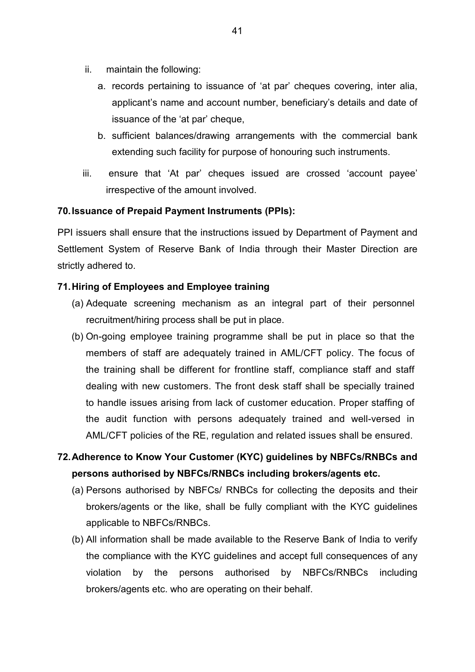- ii. maintain the following:
	- a. records pertaining to issuance of 'at par' cheques covering, inter alia, applicant's name and account number, beneficiary's details and date of issuance of the 'at par' cheque,
	- b. sufficient balances/drawing arrangements with the commercial bank extending such facility for purpose of honouring such instruments.
- iii. ensure that 'At par' cheques issued are crossed 'account payee' irrespective of the amount involved.

### **70.Issuance of Prepaid Payment Instruments (PPIs):**

PPI issuers shall ensure that the instructions issued by Department of Payment and Settlement System of Reserve Bank of India through their Master Direction are strictly adhered to.

### **71.Hiring of Employees and Employee training**

- (a) Adequate screening mechanism as an integral part of their personnel recruitment/hiring process shall be put in place.
- (b) On-going employee training programme shall be put in place so that the members of staff are adequately trained in AML/CFT policy. The focus of the training shall be different for frontline staff, compliance staff and staff dealing with new customers. The front desk staff shall be specially trained to handle issues arising from lack of customer education. Proper staffing of the audit function with persons adequately trained and well-versed in AML/CFT policies of the RE, regulation and related issues shall be ensured.

## **72.Adherence to Know Your Customer (KYC) guidelines by NBFCs/RNBCs and persons authorised by NBFCs/RNBCs including brokers/agents etc.**

- (a) Persons authorised by NBFCs/ RNBCs for collecting the deposits and their brokers/agents or the like, shall be fully compliant with the KYC guidelines applicable to NBFCs/RNBCs.
- (b) All information shall be made available to the Reserve Bank of India to verify the compliance with the KYC guidelines and accept full consequences of any violation by the persons authorised by NBFCs/RNBCs including brokers/agents etc. who are operating on their behalf.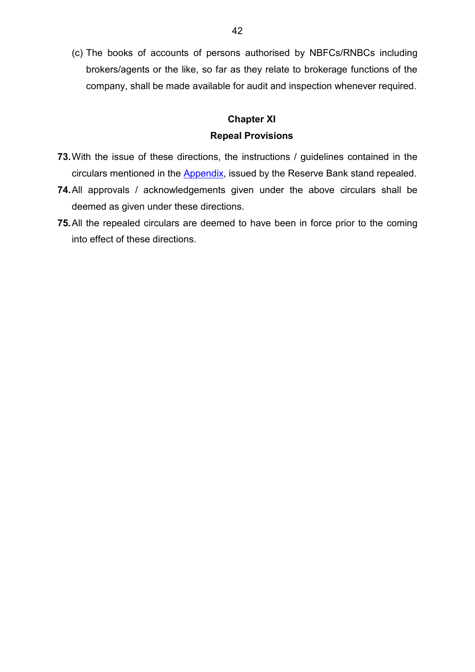(c) The books of accounts of persons authorised by NBFCs/RNBCs including brokers/agents or the like, so far as they relate to brokerage functions of the company, shall be made available for audit and inspection whenever required.

## **Chapter XI Repeal Provisions**

- **73.**With the issue of these directions, the instructions / guidelines contained in the circulars mentioned in the [Appendix,](#page-56-0) issued by the Reserve Bank stand repealed.
- **74.**All approvals / acknowledgements given under the above circulars shall be deemed as given under these directions.
- **75.**All the repealed circulars are deemed to have been in force prior to the coming into effect of these directions.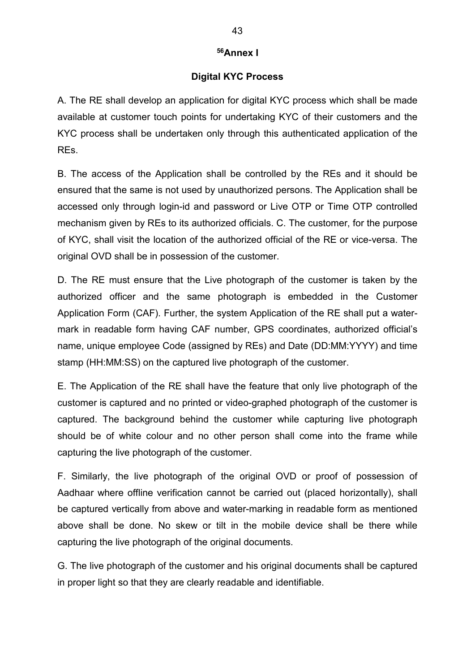#### **[56A](#page-3-22)nnex I**

#### **Digital KYC Process**

<span id="page-42-0"></span>A. The RE shall develop an application for digital KYC process which shall be made available at customer touch points for undertaking KYC of their customers and the KYC process shall be undertaken only through this authenticated application of the REs.

B. The access of the Application shall be controlled by the REs and it should be ensured that the same is not used by unauthorized persons. The Application shall be accessed only through login-id and password or Live OTP or Time OTP controlled mechanism given by REs to its authorized officials. C. The customer, for the purpose of KYC, shall visit the location of the authorized official of the RE or vice-versa. The original OVD shall be in possession of the customer.

D. The RE must ensure that the Live photograph of the customer is taken by the authorized officer and the same photograph is embedded in the Customer Application Form (CAF). Further, the system Application of the RE shall put a watermark in readable form having CAF number, GPS coordinates, authorized official's name, unique employee Code (assigned by REs) and Date (DD:MM:YYYY) and time stamp (HH:MM:SS) on the captured live photograph of the customer.

E. The Application of the RE shall have the feature that only live photograph of the customer is captured and no printed or video-graphed photograph of the customer is captured. The background behind the customer while capturing live photograph should be of white colour and no other person shall come into the frame while capturing the live photograph of the customer.

F. Similarly, the live photograph of the original OVD or proof of possession of Aadhaar where offline verification cannot be carried out (placed horizontally), shall be captured vertically from above and water-marking in readable form as mentioned above shall be done. No skew or tilt in the mobile device shall be there while capturing the live photograph of the original documents.

G. The live photograph of the customer and his original documents shall be captured in proper light so that they are clearly readable and identifiable.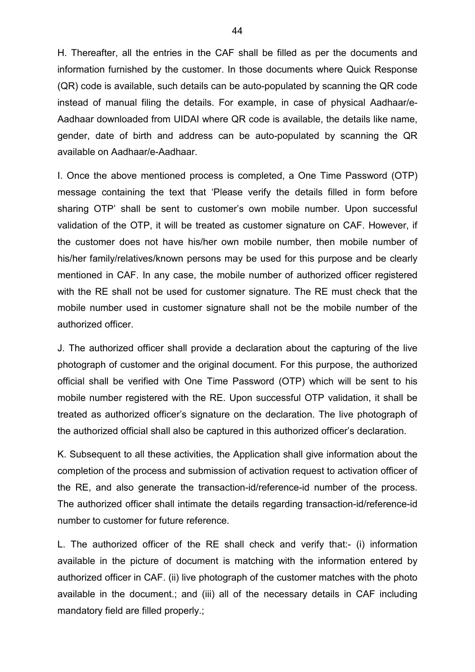H. Thereafter, all the entries in the CAF shall be filled as per the documents and information furnished by the customer. In those documents where Quick Response (QR) code is available, such details can be auto-populated by scanning the QR code instead of manual filing the details. For example, in case of physical Aadhaar/e-Aadhaar downloaded from UIDAI where QR code is available, the details like name, gender, date of birth and address can be auto-populated by scanning the QR available on Aadhaar/e-Aadhaar.

I. Once the above mentioned process is completed, a One Time Password (OTP) message containing the text that 'Please verify the details filled in form before sharing OTP' shall be sent to customer's own mobile number. Upon successful validation of the OTP, it will be treated as customer signature on CAF. However, if the customer does not have his/her own mobile number, then mobile number of his/her family/relatives/known persons may be used for this purpose and be clearly mentioned in CAF. In any case, the mobile number of authorized officer registered with the RE shall not be used for customer signature. The RE must check that the mobile number used in customer signature shall not be the mobile number of the authorized officer.

J. The authorized officer shall provide a declaration about the capturing of the live photograph of customer and the original document. For this purpose, the authorized official shall be verified with One Time Password (OTP) which will be sent to his mobile number registered with the RE. Upon successful OTP validation, it shall be treated as authorized officer's signature on the declaration. The live photograph of the authorized official shall also be captured in this authorized officer's declaration.

K. Subsequent to all these activities, the Application shall give information about the completion of the process and submission of activation request to activation officer of the RE, and also generate the transaction-id/reference-id number of the process. The authorized officer shall intimate the details regarding transaction-id/reference-id number to customer for future reference.

L. The authorized officer of the RE shall check and verify that:- (i) information available in the picture of document is matching with the information entered by authorized officer in CAF. (ii) live photograph of the customer matches with the photo available in the document.; and (iii) all of the necessary details in CAF including mandatory field are filled properly.;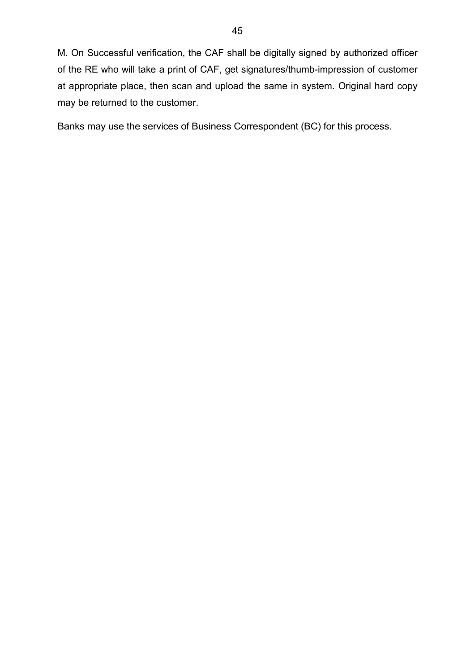M. On Successful verification, the CAF shall be digitally signed by authorized officer of the RE who will take a print of CAF, get signatures/thumb-impression of customer at appropriate place, then scan and upload the same in system. Original hard copy may be returned to the customer.

Banks may use the services of Business Correspondent (BC) for this process.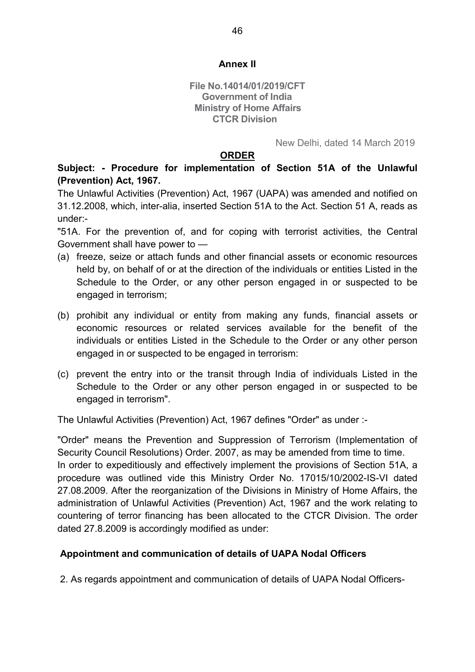### **Annex II**

**File No.14014/01/2019/CFT Government of India Ministry of Home Affairs CTCR Division**

New Delhi, dated 14 March 2019

#### **ORDER**

**Subject: - Procedure for implementation of Section 51A of the Unlawful (Prevention) Act, 1967.**

The Unlawful Activities (Prevention) Act, 1967 (UAPA) was amended and notified on 31.12.2008, which, inter-alia, inserted Section 51A to the Act. Section 51 A, reads as under:-

"51A. For the prevention of, and for coping with terrorist activities, the Central Government shall have power to —

- (a) freeze, seize or attach funds and other financial assets or economic resources held by, on behalf of or at the direction of the individuals or entities Listed in the Schedule to the Order, or any other person engaged in or suspected to be engaged in terrorism;
- (b) prohibit any individual or entity from making any funds, financial assets or economic resources or related services available for the benefit of the individuals or entities Listed in the Schedule to the Order or any other person engaged in or suspected to be engaged in terrorism:
- (c) prevent the entry into or the transit through India of individuals Listed in the Schedule to the Order or any other person engaged in or suspected to be engaged in terrorism".

The Unlawful Activities (Prevention) Act, 1967 defines "Order" as under :-

"Order" means the Prevention and Suppression of Terrorism (Implementation of Security Council Resolutions) Order. 2007, as may be amended from time to time. In order to expeditiously and effectively implement the provisions of Section 51A, a procedure was outlined vide this Ministry Order No. 17015/10/2002-IS-VI dated 27.08.2009. After the reorganization of the Divisions in Ministry of Home Affairs, the administration of Unlawful Activities (Prevention) Act, 1967 and the work relating to countering of terror financing has been allocated to the CTCR Division. The order dated 27.8.2009 is accordingly modified as under:

### **Appointment and communication of details of UAPA Nodal Officers**

2. As regards appointment and communication of details of UAPA Nodal Officers-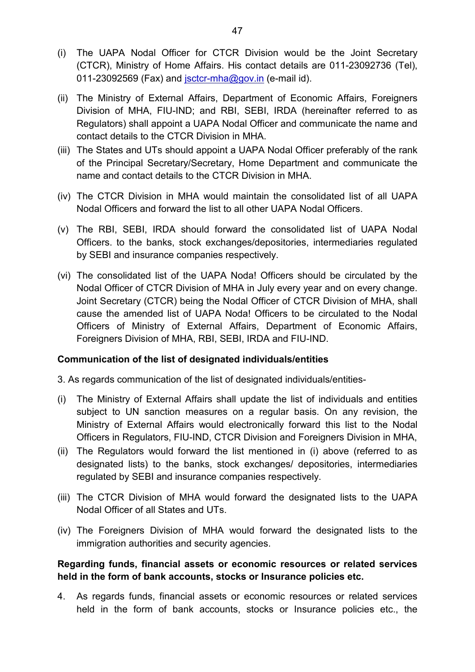- (i) The UAPA Nodal Officer for CTCR Division would be the Joint Secretary (CTCR), Ministry of Home Affairs. His contact details are 011-23092736 (Tel), 011-23092569 (Fax) and  $\frac{\text{isctcr-mha}(\partial \text{gov.in}}{\text{ (e-mail id)}}$ .
- (ii) The Ministry of External Affairs, Department of Economic Affairs, Foreigners Division of MHA, FIU-IND; and RBI, SEBI, IRDA (hereinafter referred to as Regulators) shall appoint a UAPA Nodal Officer and communicate the name and contact details to the CTCR Division in MHA.
- (iii) The States and UTs should appoint a UAPA Nodal Officer preferably of the rank of the Principal Secretary/Secretary, Home Department and communicate the name and contact details to the CTCR Division in MHA.
- (iv) The CTCR Division in MHA would maintain the consolidated list of all UAPA Nodal Officers and forward the list to all other UAPA Nodal Officers.
- (v) The RBI, SEBI, IRDA should forward the consolidated list of UAPA Nodal Officers. to the banks, stock exchanges/depositories, intermediaries regulated by SEBI and insurance companies respectively.
- (vi) The consolidated list of the UAPA Noda! Officers should be circulated by the Nodal Officer of CTCR Division of MHA in July every year and on every change. Joint Secretary (CTCR) being the Nodal Officer of CTCR Division of MHA, shall cause the amended list of UAPA Noda! Officers to be circulated to the Nodal Officers of Ministry of External Affairs, Department of Economic Affairs, Foreigners Division of MHA, RBI, SEBI, IRDA and FIU-IND.

### **Communication of the list of designated individuals/entities**

3. As regards communication of the list of designated individuals/entities-

- (i) The Ministry of External Affairs shall update the list of individuals and entities subject to UN sanction measures on a regular basis. On any revision, the Ministry of External Affairs would electronically forward this list to the Nodal Officers in Regulators, FIU-IND, CTCR Division and Foreigners Division in MHA,
- (ii) The Regulators would forward the list mentioned in (i) above (referred to as designated lists) to the banks, stock exchanges/ depositories, intermediaries regulated by SEBI and insurance companies respectively.
- (iii) The CTCR Division of MHA would forward the designated lists to the UAPA Nodal Officer of all States and UTs.
- (iv) The Foreigners Division of MHA would forward the designated lists to the immigration authorities and security agencies.

### **Regarding funds, financial assets or economic resources or related services held in the form of bank accounts, stocks or Insurance policies etc.**

4. As regards funds, financial assets or economic resources or related services held in the form of bank accounts, stocks or Insurance policies etc., the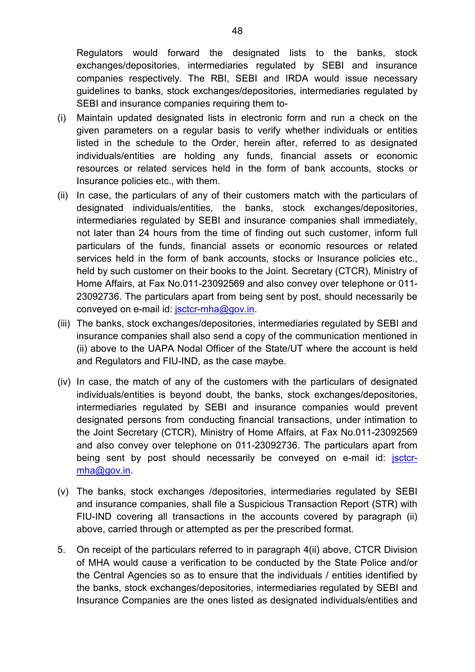Regulators would forward the designated lists to the banks, stock exchanges/depositories, intermediaries regulated by SEBI and insurance companies respectively. The RBI, SEBI and IRDA would issue necessary guidelines to banks, stock exchanges/depositories, intermediaries regulated by SEBI and insurance companies requiring them to-

- (i) Maintain updated designated lists in electronic form and run a check on the given parameters on a regular basis to verify whether individuals or entities listed in the schedule to the Order, herein after, referred to as designated individuals/entities are holding any funds, financial assets or economic resources or related services held in the form of bank accounts, stocks or Insurance policies etc., with them.
- (ii) In case, the particulars of any of their customers match with the particulars of designated individuals/entities, the banks, stock exchanges/depositories, intermediaries regulated by SEBI and insurance companies shall immediately, not later than 24 hours from the time of finding out such customer, inform full particulars of the funds, financial assets or economic resources or related services held in the form of bank accounts, stocks or Insurance policies etc., held by such customer on their books to the Joint. Secretary (CTCR), Ministry of Home Affairs, at Fax No.011-23092569 and also convey over telephone or 011- 23092736. The particulars apart from being sent by post, should necessarily be conveyed on e-mail id: [jsctcr-mha@gov.in.](mailto:jsctcr-mha@gov.in)
- (iii) The banks, stock exchanges/depositories, intermediaries regulated by SEBI and insurance companies shall also send a copy of the communication mentioned in (ii) above to the UAPA Nodal Officer of the State/UT where the account is held and Regulators and FIU-IND, as the case maybe.
- (iv) In case, the match of any of the customers with the particulars of designated individuals/entities is beyond doubt, the banks, stock exchanges/depositories, intermediaries regulated by SEBI and insurance companies would prevent designated persons from conducting financial transactions, under intimation to the Joint Secretary (CTCR), Ministry of Home Affairs, at Fax No.011-23092569 and also convey over telephone on 011-23092736. The particulars apart from being sent by post should necessarily be conveyed on e-mail id: [jsctcr](mailto:jsctcr-mha@gov.in)[mha@gov.in.](mailto:jsctcr-mha@gov.in)
- (v) The banks, stock exchanges /depositories, intermediaries regulated by SEBI and insurance companies, shall file a Suspicious Transaction Report (STR) with FIU-IND covering all transactions in the accounts covered by paragraph (ii) above, carried through or attempted as per the prescribed format.
- 5. On receipt of the particulars referred to in paragraph 4(ii) above, CTCR Division of MHA would cause a verification to be conducted by the State Police and/or the Central Agencies so as to ensure that the individuals / entities identified by the banks, stock exchanges/depositories, intermediaries regulated by SEBI and Insurance Companies are the ones listed as designated individuals/entities and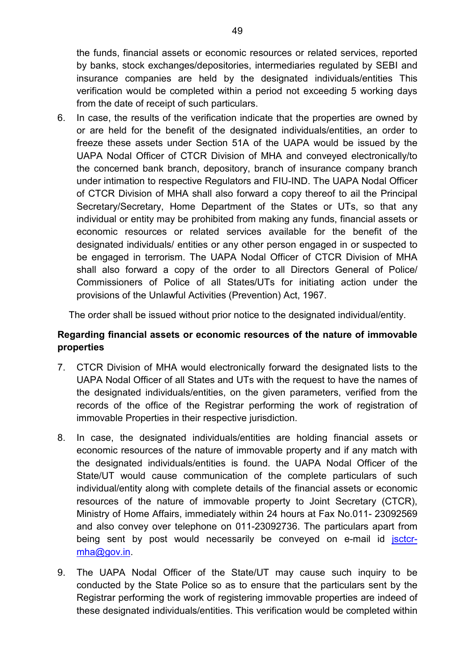the funds, financial assets or economic resources or related services, reported by banks, stock exchanges/depositories, intermediaries regulated by SEBI and insurance companies are held by the designated individuals/entities This verification would be completed within a period not exceeding 5 working days from the date of receipt of such particulars.

6. In case, the results of the verification indicate that the properties are owned by or are held for the benefit of the designated individuals/entities, an order to freeze these assets under Section 51A of the UAPA would be issued by the UAPA Nodal Officer of CTCR Division of MHA and conveyed electronically/to the concerned bank branch, depository, branch of insurance company branch under intimation to respective Regulators and FIU-IND. The UAPA Nodal Officer of CTCR Division of MHA shall also forward a copy thereof to ail the Principal Secretary/Secretary, Home Department of the States or UTs, so that any individual or entity may be prohibited from making any funds, financial assets or economic resources or related services available for the benefit of the designated individuals/ entities or any other person engaged in or suspected to be engaged in terrorism. The UAPA Nodal Officer of CTCR Division of MHA shall also forward a copy of the order to all Directors General of Police/ Commissioners of Police of all States/UTs for initiating action under the provisions of the Unlawful Activities (Prevention) Act, 1967.

The order shall be issued without prior notice to the designated individual/entity.

## **Regarding financial assets or economic resources of the nature of immovable properties**

- 7. CTCR Division of MHA would electronically forward the designated lists to the UAPA Nodal Officer of all States and UTs with the request to have the names of the designated individuals/entities, on the given parameters, verified from the records of the office of the Registrar performing the work of registration of immovable Properties in their respective jurisdiction.
- 8. In case, the designated individuals/entities are holding financial assets or economic resources of the nature of immovable property and if any match with the designated individuals/entities is found. the UAPA Nodal Officer of the State/UT would cause communication of the complete particulars of such individual/entity along with complete details of the financial assets or economic resources of the nature of immovable property to Joint Secretary (CTCR), Ministry of Home Affairs, immediately within 24 hours at Fax No.011- 23092569 and also convey over telephone on 011-23092736. The particulars apart from being sent by post would necessarily be conveyed on e-mail id [jsctcr](mailto:jsctcr-mha@gov.in)[mha@gov.in.](mailto:jsctcr-mha@gov.in)
- 9. The UAPA Nodal Officer of the State/UT may cause such inquiry to be conducted by the State Police so as to ensure that the particulars sent by the Registrar performing the work of registering immovable properties are indeed of these designated individuals/entities. This verification would be completed within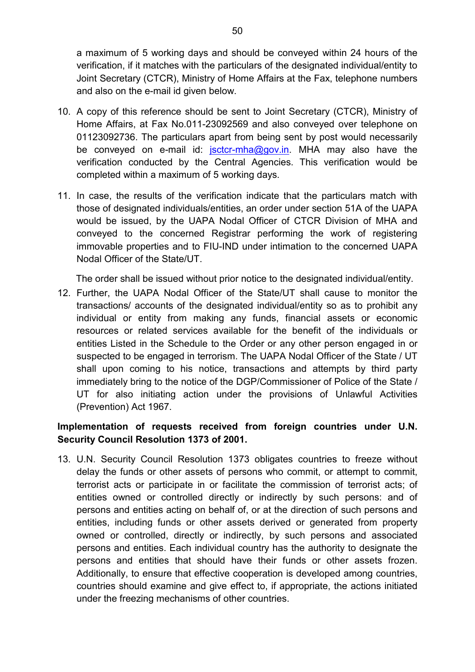a maximum of 5 working days and should be conveyed within 24 hours of the verification, if it matches with the particulars of the designated individual/entity to Joint Secretary (CTCR), Ministry of Home Affairs at the Fax, telephone numbers and also on the e-mail id given below.

- 10. A copy of this reference should be sent to Joint Secretary (CTCR), Ministry of Home Affairs, at Fax No.011-23092569 and also conveyed over telephone on 01123092736. The particulars apart from being sent by post would necessarily be conveyed on e-mail id: [jsctcr-mha@gov.in.](mailto:jsctcr-mha@gov.in) MHA may also have the verification conducted by the Central Agencies. This verification would be completed within a maximum of 5 working days.
- 11. In case, the results of the verification indicate that the particulars match with those of designated individuals/entities, an order under section 51A of the UAPA would be issued, by the UAPA Nodal Officer of CTCR Division of MHA and conveyed to the concerned Registrar performing the work of registering immovable properties and to FIU-IND under intimation to the concerned UAPA Nodal Officer of the State/UT.

The order shall be issued without prior notice to the designated individual/entity.

12. Further, the UAPA Nodal Officer of the State/UT shall cause to monitor the transactions/ accounts of the designated individual/entity so as to prohibit any individual or entity from making any funds, financial assets or economic resources or related services available for the benefit of the individuals or entities Listed in the Schedule to the Order or any other person engaged in or suspected to be engaged in terrorism. The UAPA Nodal Officer of the State / UT shall upon coming to his notice, transactions and attempts by third party immediately bring to the notice of the DGP/Commissioner of Police of the State / UT for also initiating action under the provisions of Unlawful Activities (Prevention) Act 1967.

## **Implementation of requests received from foreign countries under U.N. Security Council Resolution 1373 of 2001.**

13. U.N. Security Council Resolution 1373 obligates countries to freeze without delay the funds or other assets of persons who commit, or attempt to commit, terrorist acts or participate in or facilitate the commission of terrorist acts; of entities owned or controlled directly or indirectly by such persons: and of persons and entities acting on behalf of, or at the direction of such persons and entities, including funds or other assets derived or generated from property owned or controlled, directly or indirectly, by such persons and associated persons and entities. Each individual country has the authority to designate the persons and entities that should have their funds or other assets frozen. Additionally, to ensure that effective cooperation is developed among countries, countries should examine and give effect to, if appropriate, the actions initiated under the freezing mechanisms of other countries.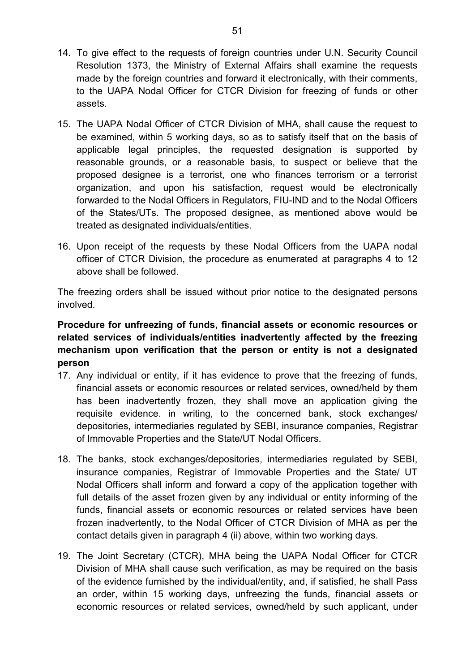- 14. To give effect to the requests of foreign countries under U.N. Security Council Resolution 1373, the Ministry of External Affairs shall examine the requests made by the foreign countries and forward it electronically, with their comments, to the UAPA Nodal Officer for CTCR Division for freezing of funds or other assets.
- 15. The UAPA Nodal Officer of CTCR Division of MHA, shall cause the request to be examined, within 5 working days, so as to satisfy itself that on the basis of applicable legal principles, the requested designation is supported by reasonable grounds, or a reasonable basis, to suspect or believe that the proposed designee is a terrorist, one who finances terrorism or a terrorist organization, and upon his satisfaction, request would be electronically forwarded to the Nodal Officers in Regulators, FIU-IND and to the Nodal Officers of the States/UTs. The proposed designee, as mentioned above would be treated as designated individuals/entities.
- 16. Upon receipt of the requests by these Nodal Officers from the UAPA nodal officer of CTCR Division, the procedure as enumerated at paragraphs 4 to 12 above shall be followed.

The freezing orders shall be issued without prior notice to the designated persons involved.

## **Procedure for unfreezing of funds, financial assets or economic resources or related services of individuals/entities inadvertently affected by the freezing mechanism upon verification that the person or entity is not a designated person**

- 17. Any individual or entity, if it has evidence to prove that the freezing of funds, financial assets or economic resources or related services, owned/held by them has been inadvertently frozen, they shall move an application giving the requisite evidence. in writing, to the concerned bank, stock exchanges/ depositories, intermediaries regulated by SEBI, insurance companies, Registrar of Immovable Properties and the State/UT Nodal Officers.
- 18. The banks, stock exchanges/depositories, intermediaries regulated by SEBI, insurance companies, Registrar of Immovable Properties and the State/ UT Nodal Officers shall inform and forward a copy of the application together with full details of the asset frozen given by any individual or entity informing of the funds, financial assets or economic resources or related services have been frozen inadvertently, to the Nodal Officer of CTCR Division of MHA as per the contact details given in paragraph 4 (ii) above, within two working days.
- 19. The Joint Secretary (CTCR), MHA being the UAPA Nodal Officer for CTCR Division of MHA shall cause such verification, as may be required on the basis of the evidence furnished by the individual/entity, and, if satisfied, he shall Pass an order, within 15 working days, unfreezing the funds, financial assets or economic resources or related services, owned/held by such applicant, under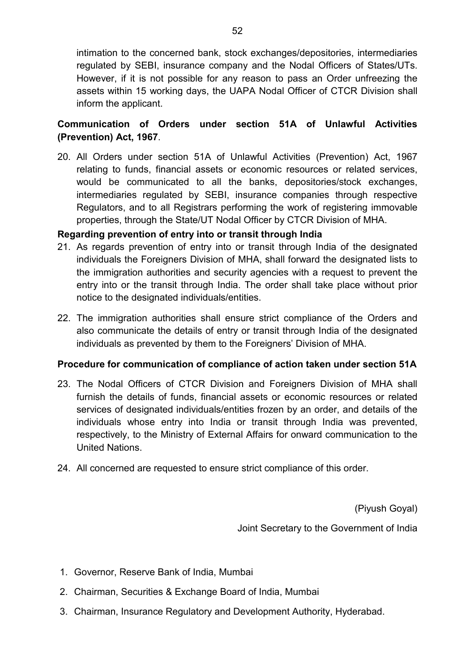intimation to the concerned bank, stock exchanges/depositories, intermediaries regulated by SEBI, insurance company and the Nodal Officers of States/UTs. However, if it is not possible for any reason to pass an Order unfreezing the assets within 15 working days, the UAPA Nodal Officer of CTCR Division shall inform the applicant.

## **Communication of Orders under section 51A of Unlawful Activities (Prevention) Act, 1967**.

20. All Orders under section 51A of Unlawful Activities (Prevention) Act, 1967 relating to funds, financial assets or economic resources or related services, would be communicated to all the banks, depositories/stock exchanges, intermediaries regulated by SEBI, insurance companies through respective Regulators, and to all Registrars performing the work of registering immovable properties, through the State/UT Nodal Officer by CTCR Division of MHA.

### **Regarding prevention of entry into or transit through India**

- 21. As regards prevention of entry into or transit through India of the designated individuals the Foreigners Division of MHA, shall forward the designated lists to the immigration authorities and security agencies with a request to prevent the entry into or the transit through India. The order shall take place without prior notice to the designated individuals/entities.
- 22. The immigration authorities shall ensure strict compliance of the Orders and also communicate the details of entry or transit through India of the designated individuals as prevented by them to the Foreigners' Division of MHA.

## **Procedure for communication of compliance of action taken under section 51A**

- 23. The Nodal Officers of CTCR Division and Foreigners Division of MHA shall furnish the details of funds, financial assets or economic resources or related services of designated individuals/entities frozen by an order, and details of the individuals whose entry into India or transit through India was prevented, respectively, to the Ministry of External Affairs for onward communication to the United Nations.
- 24. All concerned are requested to ensure strict compliance of this order.

(Piyush Goyal)

Joint Secretary to the Government of India

- 1. Governor, Reserve Bank of India, Mumbai
- 2. Chairman, Securities & Exchange Board of India, Mumbai
- 3. Chairman, Insurance Regulatory and Development Authority, Hyderabad.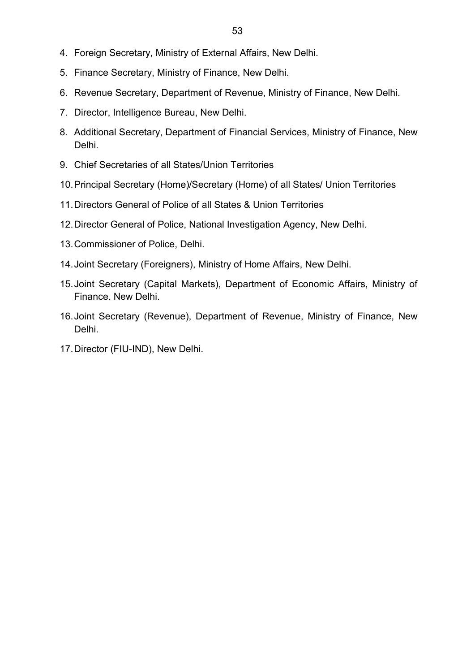- 4. Foreign Secretary, Ministry of External Affairs, New Delhi.
- 5. Finance Secretary, Ministry of Finance, New Delhi.
- 6. Revenue Secretary, Department of Revenue, Ministry of Finance, New Delhi.
- 7. Director, Intelligence Bureau, New Delhi.
- 8. Additional Secretary, Department of Financial Services, Ministry of Finance, New Delhi.
- 9. Chief Secretaries of all States/Union Territories
- 10.Principal Secretary (Home)/Secretary (Home) of all States/ Union Territories
- 11.Directors General of Police of all States & Union Territories
- 12.Director General of Police, National Investigation Agency, New Delhi.
- 13.Commissioner of Police, Delhi.
- 14.Joint Secretary (Foreigners), Ministry of Home Affairs, New Delhi.
- 15.Joint Secretary (Capital Markets), Department of Economic Affairs, Ministry of Finance. New Delhi.
- 16.Joint Secretary (Revenue), Department of Revenue, Ministry of Finance, New Delhi.
- 17.Director (FIU-IND), New Delhi.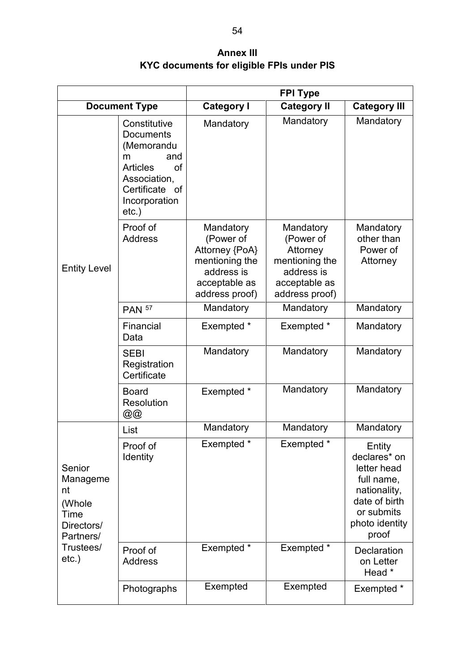**Annex III KYC documents for eligible FPIs under PIS**

<span id="page-53-0"></span>

|                                                                       |                                                                                                                                                    | <b>FPI Type</b>                                                                                             |                                                                                                       |                                                                                                                               |  |
|-----------------------------------------------------------------------|----------------------------------------------------------------------------------------------------------------------------------------------------|-------------------------------------------------------------------------------------------------------------|-------------------------------------------------------------------------------------------------------|-------------------------------------------------------------------------------------------------------------------------------|--|
| <b>Document Type</b>                                                  |                                                                                                                                                    | <b>Category I</b>                                                                                           | <b>Category II</b>                                                                                    | <b>Category III</b>                                                                                                           |  |
|                                                                       | Constitutive<br><b>Documents</b><br>(Memorandu<br>and<br>m<br><b>Articles</b><br>of<br>Association,<br>Certificate of<br>Incorporation<br>$etc.$ ) | Mandatory                                                                                                   | Mandatory                                                                                             | Mandatory                                                                                                                     |  |
| <b>Entity Level</b>                                                   | Proof of<br><b>Address</b>                                                                                                                         | Mandatory<br>(Power of<br>Attorney {PoA}<br>mentioning the<br>address is<br>acceptable as<br>address proof) | Mandatory<br>(Power of<br>Attorney<br>mentioning the<br>address is<br>acceptable as<br>address proof) | Mandatory<br>other than<br>Power of<br>Attorney                                                                               |  |
|                                                                       | <b>PAN 57</b>                                                                                                                                      | Mandatory                                                                                                   | Mandatory                                                                                             | Mandatory                                                                                                                     |  |
|                                                                       | Financial<br>Data                                                                                                                                  | Exempted *                                                                                                  | Exempted *                                                                                            | Mandatory                                                                                                                     |  |
|                                                                       | <b>SEBI</b><br>Registration<br>Certificate                                                                                                         | Mandatory                                                                                                   | Mandatory                                                                                             | Mandatory                                                                                                                     |  |
|                                                                       | <b>Board</b><br>Resolution<br>@@                                                                                                                   | Exempted *                                                                                                  | Mandatory                                                                                             | Mandatory                                                                                                                     |  |
|                                                                       | List                                                                                                                                               | Mandatory                                                                                                   | Mandatory                                                                                             | Mandatory                                                                                                                     |  |
| Senior<br>Manageme<br>nt<br>(Whole<br>Time<br>Directors/<br>Partners/ | Proof of<br><b>Identity</b>                                                                                                                        | Exempted *                                                                                                  | Exempted *                                                                                            | Entity<br>declares* on<br>letter head<br>full name,<br>nationality,<br>date of birth<br>or submits<br>photo identity<br>proof |  |
| Trustees/<br>$etc.$ )                                                 | Proof of<br><b>Address</b>                                                                                                                         | Exempted *                                                                                                  | Exempted *                                                                                            | <b>Declaration</b><br>on Letter<br>Head *                                                                                     |  |
|                                                                       | Photographs                                                                                                                                        | Exempted                                                                                                    | Exempted                                                                                              | Exempted *                                                                                                                    |  |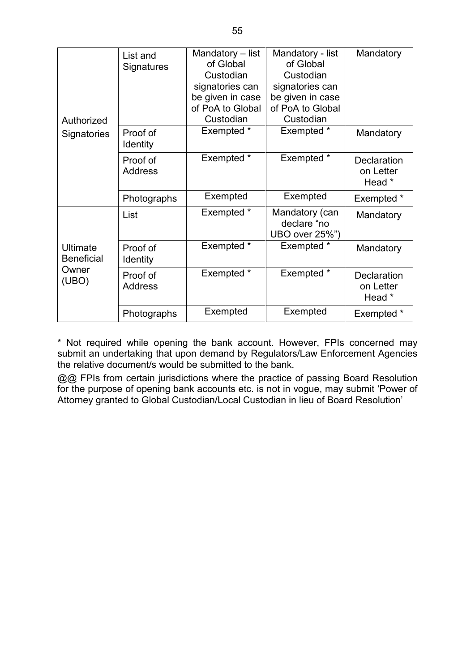| Authorized                    | List and<br>Signatures      | Mandatory - list<br>of Global<br>Custodian<br>signatories can<br>be given in case<br>of PoA to Global<br>Custodian | Mandatory - list<br>of Global<br>Custodian<br>signatories can<br>be given in case<br>of PoA to Global<br>Custodian | Mandatory                                 |
|-------------------------------|-----------------------------|--------------------------------------------------------------------------------------------------------------------|--------------------------------------------------------------------------------------------------------------------|-------------------------------------------|
| <b>Signatories</b>            | Proof of<br><b>Identity</b> | Exempted *                                                                                                         | Exempted *                                                                                                         | Mandatory                                 |
|                               | Proof of<br><b>Address</b>  | Exempted *                                                                                                         | Exempted *                                                                                                         | <b>Declaration</b><br>on Letter<br>Head * |
|                               | Photographs                 | Exempted                                                                                                           | Exempted                                                                                                           | Exempted *                                |
|                               | List                        | Exempted *                                                                                                         | Mandatory (can<br>declare "no<br>UBO over 25%")                                                                    | Mandatory                                 |
| Ultimate<br><b>Beneficial</b> | Proof of<br>Identity        | Exempted *                                                                                                         | Exempted *                                                                                                         | Mandatory                                 |
| Owner<br>(UBO)                | Proof of<br><b>Address</b>  | Exempted *                                                                                                         | Exempted *                                                                                                         | <b>Declaration</b><br>on Letter<br>Head * |
|                               | Photographs                 | Exempted                                                                                                           | Exempted                                                                                                           | Exempted *                                |

\* Not required while opening the bank account. However, FPIs concerned may submit an undertaking that upon demand by Regulators/Law Enforcement Agencies the relative document/s would be submitted to the bank.

@@ FPIs from certain jurisdictions where the practice of passing Board Resolution for the purpose of opening bank accounts etc. is not in vogue, may submit 'Power of Attorney granted to Global Custodian/Local Custodian in lieu of Board Resolution'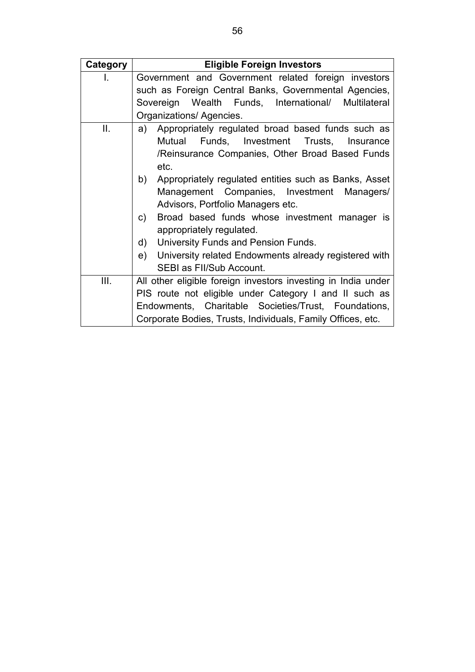| Category | <b>Eligible Foreign Investors</b>                             |  |  |  |
|----------|---------------------------------------------------------------|--|--|--|
| L.       | Government and Government related foreign investors           |  |  |  |
|          | such as Foreign Central Banks, Governmental Agencies,         |  |  |  |
|          | Sovereign Wealth Funds, International/ Multilateral           |  |  |  |
|          | Organizations/ Agencies.                                      |  |  |  |
| II.      | Appropriately regulated broad based funds such as<br>a)       |  |  |  |
|          | Mutual Funds, Investment Trusts, Insurance                    |  |  |  |
|          | /Reinsurance Companies, Other Broad Based Funds               |  |  |  |
|          | etc.                                                          |  |  |  |
|          | Appropriately regulated entities such as Banks, Asset<br>b)   |  |  |  |
|          | Management Companies, Investment Managers/                    |  |  |  |
|          | Advisors, Portfolio Managers etc.                             |  |  |  |
|          | Broad based funds whose investment manager is<br>c)           |  |  |  |
|          | appropriately regulated.                                      |  |  |  |
|          | University Funds and Pension Funds.<br>d)                     |  |  |  |
|          | University related Endowments already registered with<br>e) - |  |  |  |
|          | SEBI as FII/Sub Account.                                      |  |  |  |
| III.     | All other eligible foreign investors investing in India under |  |  |  |
|          | PIS route not eligible under Category I and II such as        |  |  |  |
|          | Endowments, Charitable Societies/Trust, Foundations,          |  |  |  |
|          | Corporate Bodies, Trusts, Individuals, Family Offices, etc.   |  |  |  |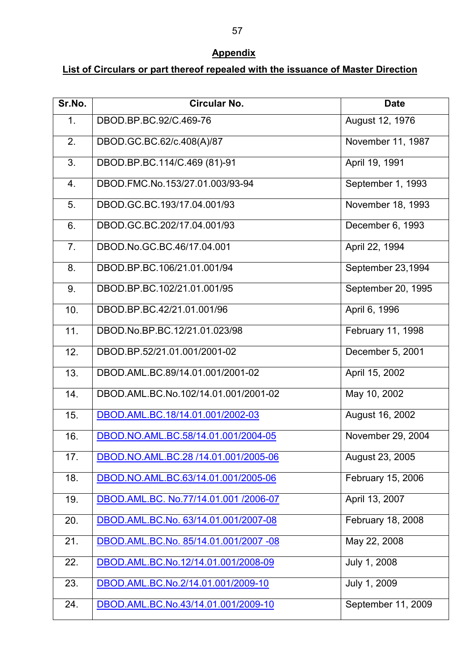# **Appendix**

## <span id="page-56-0"></span>**List of Circulars or part thereof repealed with the issuance of Master Direction**

| Sr.No.         | Circular No.                          | <b>Date</b>        |
|----------------|---------------------------------------|--------------------|
| $\mathbf{1}$ . | DBOD.BP.BC.92/C.469-76                | August 12, 1976    |
| 2.             | DBOD.GC.BC.62/c.408(A)/87             | November 11, 1987  |
| 3.             | DBOD.BP.BC.114/C.469 (81)-91          | April 19, 1991     |
| 4.             | DBOD.FMC.No.153/27.01.003/93-94       | September 1, 1993  |
| 5.             | DBOD.GC.BC.193/17.04.001/93           | November 18, 1993  |
| 6.             | DBOD.GC.BC.202/17.04.001/93           | December 6, 1993   |
| 7 <sub>1</sub> | DBOD.No.GC.BC.46/17.04.001            | April 22, 1994     |
| 8.             | DBOD.BP.BC.106/21.01.001/94           | September 23,1994  |
| 9.             | DBOD.BP.BC.102/21.01.001/95           | September 20, 1995 |
| 10.            | DBOD.BP.BC.42/21.01.001/96            | April 6, 1996      |
| 11.            | DBOD.No.BP.BC.12/21.01.023/98         | February 11, 1998  |
| 12.            | DBOD.BP.52/21.01.001/2001-02          | December 5, 2001   |
| 13.            | DBOD.AML.BC.89/14.01.001/2001-02      | April 15, 2002     |
| 14.            | DBOD.AML.BC.No.102/14.01.001/2001-02  | May 10, 2002       |
| 15.            | DBOD.AML.BC.18/14.01.001/2002-03      | August 16, 2002    |
| 16.            | DBOD.NO.AML.BC.58/14.01.001/2004-05   | November 29, 2004  |
| 17.            | DBOD.NO.AML.BC.28 /14.01.001/2005-06  | August 23, 2005    |
| 18.            | DBOD.NO.AML.BC.63/14.01.001/2005-06   | February 15, 2006  |
| 19.            | DBOD.AML.BC. No.77/14.01.001 /2006-07 | April 13, 2007     |
| 20.            | DBOD.AML.BC.No. 63/14.01.001/2007-08  | February 18, 2008  |
| 21.            | DBOD.AML.BC.No. 85/14.01.001/2007 -08 | May 22, 2008       |
| 22.            | DBOD.AML.BC.No.12/14.01.001/2008-09   | July 1, 2008       |
| 23.            | DBOD.AML.BC.No.2/14.01.001/2009-10    | July 1, 2009       |
| 24.            | DBOD.AML.BC.No.43/14.01.001/2009-10   | September 11, 2009 |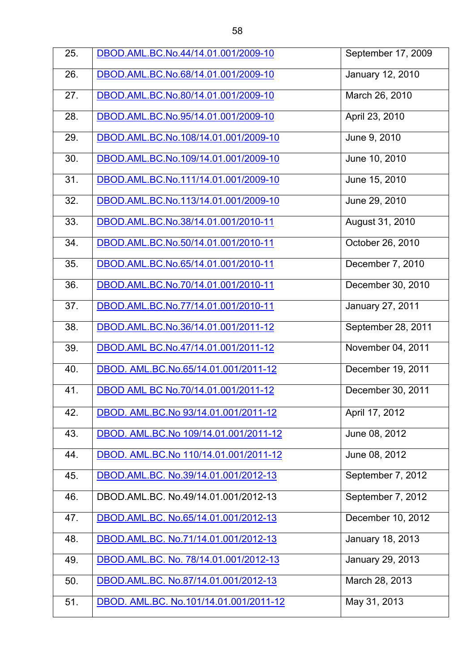| 25. | DBOD.AML.BC.No.44/14.01.001/2009-10    | September 17, 2009      |
|-----|----------------------------------------|-------------------------|
| 26. | DBOD.AML.BC.No.68/14.01.001/2009-10    | <b>January 12, 2010</b> |
| 27. | DBOD.AML.BC.No.80/14.01.001/2009-10    | March 26, 2010          |
| 28. | DBOD.AML.BC.No.95/14.01.001/2009-10    | April 23, 2010          |
| 29. | DBOD.AML.BC.No.108/14.01.001/2009-10   | June 9, 2010            |
| 30. | DBOD.AML.BC.No.109/14.01.001/2009-10   | June 10, 2010           |
| 31. | DBOD.AML.BC.No.111/14.01.001/2009-10   | June 15, 2010           |
| 32. | DBOD.AML.BC.No.113/14.01.001/2009-10   | June 29, 2010           |
| 33. | DBOD.AML.BC.No.38/14.01.001/2010-11    | August 31, 2010         |
| 34. | DBOD.AML.BC.No.50/14.01.001/2010-11    | October 26, 2010        |
| 35. | DBOD.AML.BC.No.65/14.01.001/2010-11    | December 7, 2010        |
| 36. | DBOD.AML.BC.No.70/14.01.001/2010-11    | December 30, 2010       |
| 37. | DBOD.AML.BC.No.77/14.01.001/2010-11    | <b>January 27, 2011</b> |
| 38. | DBOD.AML.BC.No.36/14.01.001/2011-12    | September 28, 2011      |
| 39. | DBOD.AML BC.No.47/14.01.001/2011-12    | November 04, 2011       |
| 40. | DBOD. AML.BC.No.65/14.01.001/2011-12   | December 19, 2011       |
| 41. | DBOD AML BC No.70/14.01.001/2011-12    | December 30, 2011       |
| 42. | DBOD. AML.BC.No 93/14.01.001/2011-12   | April 17, 2012          |
| 43. | DBOD. AML.BC.No 109/14.01.001/2011-12  | June 08, 2012           |
| 44. | DBOD. AML.BC.No 110/14.01.001/2011-12  | June 08, 2012           |
| 45. | DBOD.AML.BC. No.39/14.01.001/2012-13   | September 7, 2012       |
| 46. | DBOD.AML.BC. No.49/14.01.001/2012-13   | September 7, 2012       |
| 47. | DBOD.AML.BC. No.65/14.01.001/2012-13   | December 10, 2012       |
| 48. | DBOD.AML.BC. No.71/14.01.001/2012-13   | January 18, 2013        |
| 49. | DBOD.AML.BC. No. 78/14.01.001/2012-13  | January 29, 2013        |
| 50. | DBOD.AML.BC. No.87/14.01.001/2012-13   | March 28, 2013          |
| 51. | DBOD. AML.BC. No.101/14.01.001/2011-12 | May 31, 2013            |
|     |                                        |                         |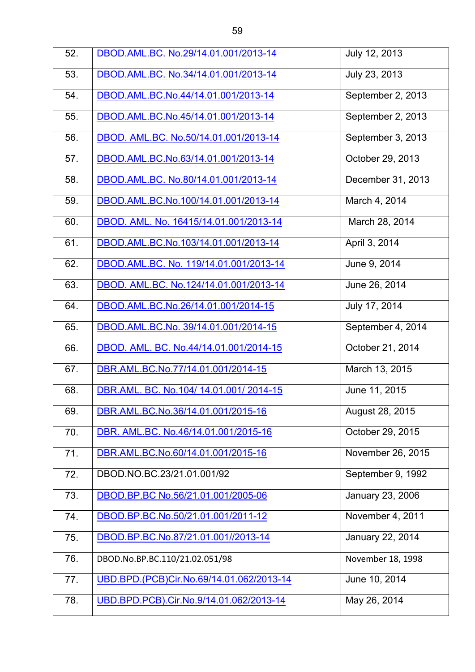| 52. | DBOD.AML.BC. No.29/14.01.001/2013-14     | July 12, 2013     |
|-----|------------------------------------------|-------------------|
| 53. | DBOD.AML.BC. No.34/14.01.001/2013-14     | July 23, 2013     |
| 54. | DBOD.AML.BC.No.44/14.01.001/2013-14      | September 2, 2013 |
| 55. | DBOD.AML.BC.No.45/14.01.001/2013-14      | September 2, 2013 |
| 56. | DBOD. AML.BC. No.50/14.01.001/2013-14    | September 3, 2013 |
| 57. | DBOD.AML.BC.No.63/14.01.001/2013-14      | October 29, 2013  |
| 58. | DBOD.AML.BC. No.80/14.01.001/2013-14     | December 31, 2013 |
| 59. | DBOD.AML.BC.No.100/14.01.001/2013-14     | March 4, 2014     |
| 60. | DBOD. AML. No. 16415/14.01.001/2013-14   | March 28, 2014    |
| 61. | DBOD.AML.BC.No.103/14.01.001/2013-14     | April 3, 2014     |
| 62. | DBOD.AML.BC. No. 119/14.01.001/2013-14   | June 9, 2014      |
| 63. | DBOD. AML.BC. No.124/14.01.001/2013-14   | June 26, 2014     |
| 64. | DBOD.AML.BC.No.26/14.01.001/2014-15      | July 17, 2014     |
| 65. | DBOD.AML.BC.No. 39/14.01.001/2014-15     | September 4, 2014 |
| 66. | DBOD. AML. BC. No.44/14.01.001/2014-15   | October 21, 2014  |
| 67. | DBR.AML.BC.No.77/14.01.001/2014-15       | March 13, 2015    |
| 68. | DBR.AML. BC. No.104/ 14.01.001/ 2014-15  | June 11, 2015     |
| 69. | DBR.AML.BC.No.36/14.01.001/2015-16       | August 28, 2015   |
| 70. | DBR. AML.BC. No.46/14.01.001/2015-16     | October 29, 2015  |
| 71. | DBR.AML.BC.No.60/14.01.001/2015-16       | November 26, 2015 |
| 72. | DBOD.NO.BC.23/21.01.001/92               | September 9, 1992 |
| 73. | DBOD.BP.BC No.56/21.01.001/2005-06       | January 23, 2006  |
| 74. | DBOD.BP.BC.No.50/21.01.001/2011-12       | November 4, 2011  |
| 75. | DBOD.BP.BC.No.87/21.01.001//2013-14      | January 22, 2014  |
| 76. | DBOD.No.BP.BC.110/21.02.051/98           | November 18, 1998 |
| 77. | UBD.BPD.(PCB)Cir.No.69/14.01.062/2013-14 | June 10, 2014     |
| 78. | UBD.BPD.PCB).Cir.No.9/14.01.062/2013-14  | May 26, 2014      |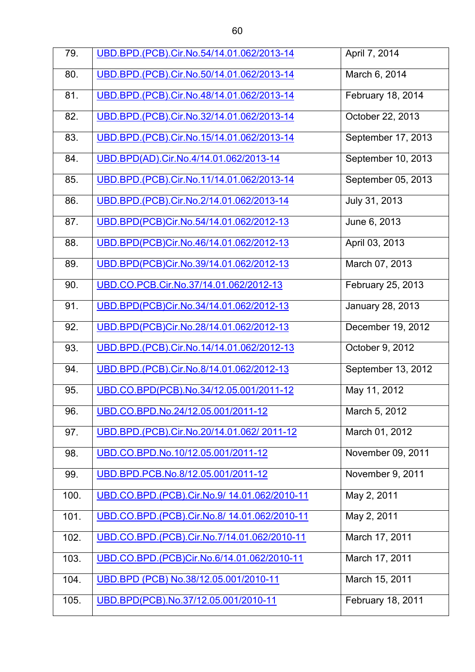| 79.  | UBD.BPD.(PCB).Cir.No.54/14.01.062/2013-14    | April 7, 2014           |
|------|----------------------------------------------|-------------------------|
| 80.  | UBD.BPD.(PCB).Cir.No.50/14.01.062/2013-14    | March 6, 2014           |
| 81.  | UBD.BPD.(PCB).Cir.No.48/14.01.062/2013-14    | February 18, 2014       |
| 82.  | UBD.BPD.(PCB).Cir.No.32/14.01.062/2013-14    | October 22, 2013        |
| 83.  | UBD.BPD.(PCB).Cir.No.15/14.01.062/2013-14    | September 17, 2013      |
| 84.  | UBD.BPD(AD).Cir.No.4/14.01.062/2013-14       | September 10, 2013      |
| 85.  | UBD.BPD.(PCB).Cir.No.11/14.01.062/2013-14    | September 05, 2013      |
| 86.  | UBD.BPD.(PCB).Cir.No.2/14.01.062/2013-14     | July 31, 2013           |
| 87.  | UBD.BPD(PCB)Cir.No.54/14.01.062/2012-13      | June 6, 2013            |
| 88.  | UBD.BPD(PCB)Cir.No.46/14.01.062/2012-13      | April 03, 2013          |
| 89.  | UBD.BPD(PCB)Cir.No.39/14.01.062/2012-13      | March 07, 2013          |
| 90.  | UBD.CO.PCB.Cir.No.37/14.01.062/2012-13       | February 25, 2013       |
| 91.  | UBD.BPD(PCB)Cir.No.34/14.01.062/2012-13      | <b>January 28, 2013</b> |
| 92.  | UBD.BPD(PCB)Cir.No.28/14.01.062/2012-13      | December 19, 2012       |
| 93.  | UBD.BPD.(PCB).Cir.No.14/14.01.062/2012-13    | October 9, 2012         |
| 94.  | UBD.BPD.(PCB).Cir.No.8/14.01.062/2012-13     | September 13, 2012      |
| 95.  | UBD.CO.BPD(PCB).No.34/12.05.001/2011-12      | May 11, 2012            |
| 96.  | UBD.CO.BPD.No.24/12.05.001/2011-12           | March 5, 2012           |
| 97.  | UBD.BPD.(PCB).Cir.No.20/14.01.062/2011-12    | March 01, 2012          |
| 98.  | UBD.CO.BPD.No.10/12.05.001/2011-12           | November 09, 2011       |
| 99.  | UBD.BPD.PCB.No.8/12.05.001/2011-12           | November 9, 2011        |
| 100. | UBD.CO.BPD.(PCB).Cir.No.9/ 14.01.062/2010-11 | May 2, 2011             |
| 101. | UBD.CO.BPD.(PCB).Cir.No.8/ 14.01.062/2010-11 | May 2, 2011             |
| 102. | UBD.CO.BPD.(PCB).Cir.No.7/14.01.062/2010-11  | March 17, 2011          |
| 103. | UBD.CO.BPD.(PCB)Cir.No.6/14.01.062/2010-11   | March 17, 2011          |
| 104. | UBD.BPD (PCB) No.38/12.05.001/2010-11        | March 15, 2011          |
| 105. | UBD.BPD(PCB).No.37/12.05.001/2010-11         | February 18, 2011       |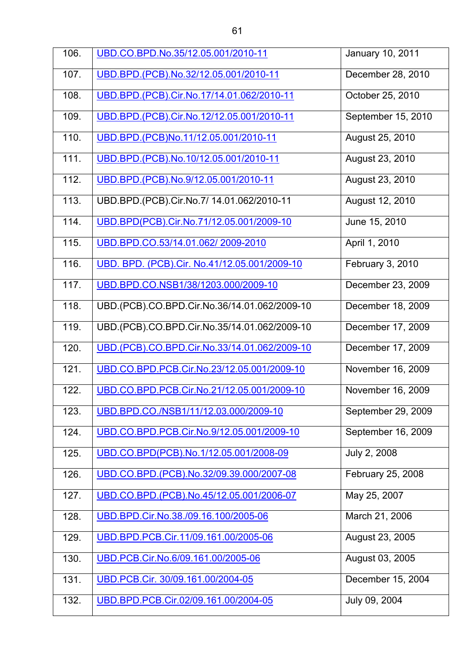| 106. | UBD.CO.BPD.No.35/12.05.001/2010-11           | January 10, 2011   |
|------|----------------------------------------------|--------------------|
| 107. | UBD.BPD.(PCB).No.32/12.05.001/2010-11        | December 28, 2010  |
| 108. | UBD.BPD.(PCB).Cir.No.17/14.01.062/2010-11    | October 25, 2010   |
| 109. | UBD.BPD.(PCB).Cir.No.12/12.05.001/2010-11    | September 15, 2010 |
| 110. | UBD.BPD.(PCB)No.11/12.05.001/2010-11         | August 25, 2010    |
| 111. | UBD.BPD.(PCB).No.10/12.05.001/2010-11        | August 23, 2010    |
| 112. | UBD.BPD.(PCB).No.9/12.05.001/2010-11         | August 23, 2010    |
| 113. | UBD.BPD.(PCB).Cir.No.7/ 14.01.062/2010-11    | August 12, 2010    |
| 114. | UBD.BPD(PCB).Cir.No.71/12.05.001/2009-10     | June 15, 2010      |
| 115. | UBD.BPD.CO.53/14.01.062/2009-2010            | April 1, 2010      |
| 116. | UBD. BPD. (PCB).Cir. No.41/12.05.001/2009-10 | February 3, 2010   |
| 117. | UBD.BPD.CO.NSB1/38/1203.000/2009-10          | December 23, 2009  |
| 118. | UBD.(PCB).CO.BPD.Cir.No.36/14.01.062/2009-10 | December 18, 2009  |
| 119. | UBD.(PCB).CO.BPD.Cir.No.35/14.01.062/2009-10 | December 17, 2009  |
| 120. | UBD.(PCB).CO.BPD.Cir.No.33/14.01.062/2009-10 | December 17, 2009  |
| 121. | UBD.CO.BPD.PCB.Cir.No.23/12.05.001/2009-10   | November 16, 2009  |
| 122. | UBD.CO.BPD.PCB.Cir.No.21/12.05.001/2009-10   | November 16, 2009  |
| 123. | UBD.BPD.CO./NSB1/11/12.03.000/2009-10        | September 29, 2009 |
| 124. | UBD.CO.BPD.PCB.Cir.No.9/12.05.001/2009-10    | September 16, 2009 |
| 125. | UBD.CO.BPD(PCB).No.1/12.05.001/2008-09       | July 2, 2008       |
| 126. | UBD.CO.BPD.(PCB).No.32/09.39.000/2007-08     | February 25, 2008  |
| 127. | UBD.CO.BPD.(PCB).No.45/12.05.001/2006-07     | May 25, 2007       |
| 128. | UBD.BPD.Cir.No.38./09.16.100/2005-06         | March 21, 2006     |
| 129. | UBD.BPD.PCB.Cir.11/09.161.00/2005-06         | August 23, 2005    |
| 130. | UBD.PCB.Cir.No.6/09.161.00/2005-06           | August 03, 2005    |
| 131. | UBD.PCB.Cir. 30/09.161.00/2004-05            | December 15, 2004  |
| 132. | UBD.BPD.PCB.Cir.02/09.161.00/2004-05         | July 09, 2004      |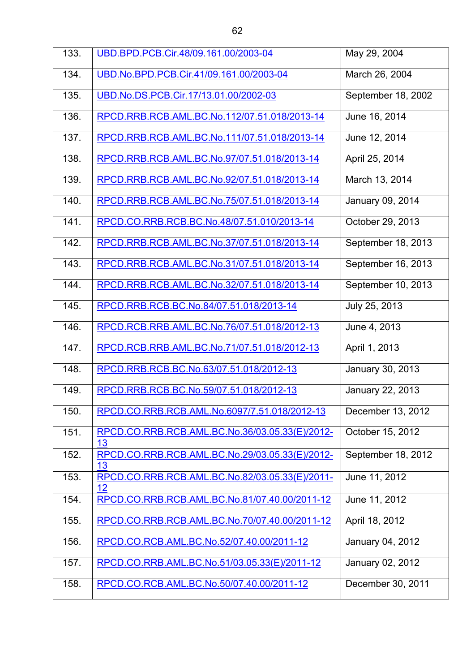| 133. | UBD.BPD.PCB.Cir.48/09.161.00/2003-04                 | May 29, 2004            |
|------|------------------------------------------------------|-------------------------|
| 134. | UBD.No.BPD.PCB.Cir.41/09.161.00/2003-04              | March 26, 2004          |
| 135. | UBD.No.DS.PCB.Cir.17/13.01.00/2002-03                | September 18, 2002      |
| 136. | RPCD.RRB.RCB.AML.BC.No.112/07.51.018/2013-14         | June 16, 2014           |
| 137. | RPCD.RRB.RCB.AML.BC.No.111/07.51.018/2013-14         | June 12, 2014           |
| 138. | RPCD.RRB.RCB.AML.BC.No.97/07.51.018/2013-14          | April 25, 2014          |
| 139. | RPCD.RRB.RCB.AML.BC.No.92/07.51.018/2013-14          | March 13, 2014          |
| 140. | RPCD.RRB.RCB.AML.BC.No.75/07.51.018/2013-14          | January 09, 2014        |
| 141. | RPCD.CO.RRB.RCB.BC.No.48/07.51.010/2013-14           | October 29, 2013        |
| 142. | RPCD.RRB.RCB.AML.BC.No.37/07.51.018/2013-14          | September 18, 2013      |
| 143. | RPCD.RRB.RCB.AML.BC.No.31/07.51.018/2013-14          | September 16, 2013      |
| 144. | RPCD.RRB.RCB.AML.BC.No.32/07.51.018/2013-14          | September 10, 2013      |
| 145. | RPCD.RRB.RCB.BC.No.84/07.51.018/2013-14              | July 25, 2013           |
| 146. | RPCD.RCB.RRB.AML.BC.No.76/07.51.018/2012-13          | June 4, 2013            |
| 147. | RPCD.RCB.RRB.AML.BC.No.71/07.51.018/2012-13          | April 1, 2013           |
| 148. | RPCD.RRB.RCB.BC.No.63/07.51.018/2012-13              | January 30, 2013        |
| 149. | RPCD.RRB.RCB.BC.No.59/07.51.018/2012-13              | <b>January 22, 2013</b> |
| 150. | RPCD.CO.RRB.RCB.AML.No.6097/7.51.018/2012-13         | December 13, 2012       |
| 151. | RPCD.CO.RRB.RCB.AML.BC.No.36/03.05.33(E)/2012-<br>13 | October 15, 2012        |
| 152. | RPCD.CO.RRB.RCB.AML.BC.No.29/03.05.33(E)/2012-<br>13 | September 18, 2012      |
| 153. | RPCD.CO.RRB.RCB.AML.BC.No.82/03.05.33(E)/2011-<br>12 | June 11, 2012           |
| 154. | RPCD.CO.RRB.RCB.AML.BC.No.81/07.40.00/2011-12        | June 11, 2012           |
| 155. | RPCD.CO.RRB.RCB.AML.BC.No.70/07.40.00/2011-12        | April 18, 2012          |
| 156. | RPCD.CO.RCB.AML.BC.No.52/07.40.00/2011-12            | January 04, 2012        |
| 157. | RPCD.CO.RRB.AML.BC.No.51/03.05.33(E)/2011-12         | January 02, 2012        |
| 158. | RPCD.CO.RCB.AML.BC.No.50/07.40.00/2011-12            | December 30, 2011       |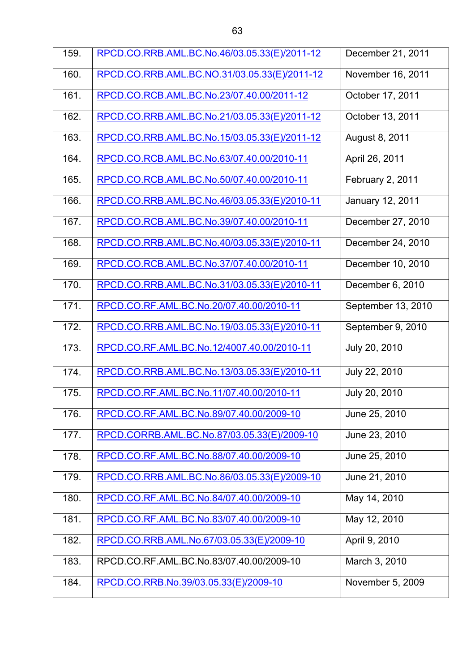| 159. | RPCD.CO.RRB.AML.BC.No.46/03.05.33(E)/2011-12 | December 21, 2011  |
|------|----------------------------------------------|--------------------|
| 160. | RPCD.CO.RRB.AML.BC.NO.31/03.05.33(E)/2011-12 | November 16, 2011  |
| 161. | RPCD.CO.RCB.AML.BC.No.23/07.40.00/2011-12    | October 17, 2011   |
| 162. | RPCD.CO.RRB.AML.BC.No.21/03.05.33(E)/2011-12 | October 13, 2011   |
| 163. | RPCD.CO.RRB.AML.BC.No.15/03.05.33(E)/2011-12 | August 8, 2011     |
| 164. | RPCD.CO.RCB.AML.BC.No.63/07.40.00/2010-11    | April 26, 2011     |
| 165. | RPCD.CO.RCB.AML.BC.No.50/07.40.00/2010-11    | February 2, 2011   |
| 166. | RPCD.CO.RRB.AML.BC.No.46/03.05.33(E)/2010-11 | January 12, 2011   |
| 167. | RPCD.CO.RCB.AML.BC.No.39/07.40.00/2010-11    | December 27, 2010  |
| 168. | RPCD.CO.RRB.AML.BC.No.40/03.05.33(E)/2010-11 | December 24, 2010  |
| 169. | RPCD.CO.RCB.AML.BC.No.37/07.40.00/2010-11    | December 10, 2010  |
| 170. | RPCD.CO.RRB.AML.BC.No.31/03.05.33(E)/2010-11 | December 6, 2010   |
| 171. | RPCD.CO.RF.AML.BC.No.20/07.40.00/2010-11     | September 13, 2010 |
| 172. | RPCD.CO.RRB.AML.BC.No.19/03.05.33(E)/2010-11 | September 9, 2010  |
| 173. | RPCD.CO.RF.AML.BC.No.12/4007.40.00/2010-11   | July 20, 2010      |
| 174. | RPCD.CO.RRB.AML.BC.No.13/03.05.33(E)/2010-11 | July 22, 2010      |
| 175. | RPCD.CO.RF.AML.BC.No.11/07.40.00/2010-11     | July 20, 2010      |
| 176. | RPCD.CO.RF.AML.BC.No.89/07.40.00/2009-10     | June 25, 2010      |
| 177. | RPCD.CORRB.AML.BC.No.87/03.05.33(E)/2009-10  | June 23, 2010      |
| 178. | RPCD.CO.RF.AML.BC.No.88/07.40.00/2009-10     | June 25, 2010      |
| 179. | RPCD.CO.RRB.AML.BC.No.86/03.05.33(E)/2009-10 | June 21, 2010      |
| 180. | RPCD.CO.RF.AML.BC.No.84/07.40.00/2009-10     | May 14, 2010       |
| 181. | RPCD.CO.RF.AML.BC.No.83/07.40.00/2009-10     | May 12, 2010       |
| 182. | RPCD.CO.RRB.AML.No.67/03.05.33(E)/2009-10    | April 9, 2010      |
| 183. | RPCD.CO.RF.AML.BC.No.83/07.40.00/2009-10     | March 3, 2010      |
| 184. | RPCD.CO.RRB.No.39/03.05.33(E)/2009-10        | November 5, 2009   |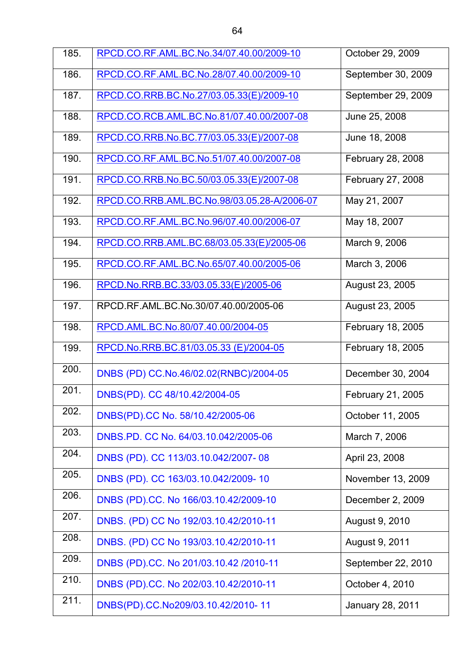| 185. | RPCD.CO.RF.AML.BC.No.34/07.40.00/2009-10    | October 29, 2009        |
|------|---------------------------------------------|-------------------------|
| 186. | RPCD.CO.RF.AML.BC.No.28/07.40.00/2009-10    | September 30, 2009      |
| 187. | RPCD.CO.RRB.BC.No.27/03.05.33(E)/2009-10    | September 29, 2009      |
| 188. | RPCD.CO.RCB.AML.BC.No.81/07.40.00/2007-08   | June 25, 2008           |
| 189. | RPCD.CO.RRB.No.BC.77/03.05.33(E)/2007-08    | June 18, 2008           |
| 190. | RPCD.CO.RF.AML.BC.No.51/07.40.00/2007-08    | February 28, 2008       |
| 191. | RPCD.CO.RRB.No.BC.50/03.05.33(E)/2007-08    | February 27, 2008       |
| 192. | RPCD.CO.RRB.AML.BC.No.98/03.05.28-A/2006-07 | May 21, 2007            |
| 193. | RPCD.CO.RF.AML.BC.No.96/07.40.00/2006-07    | May 18, 2007            |
| 194. | RPCD.CO.RRB.AML.BC.68/03.05.33(E)/2005-06   | March 9, 2006           |
| 195. | RPCD.CO.RF.AML.BC.No.65/07.40.00/2005-06    | March 3, 2006           |
| 196. | RPCD.No.RRB.BC.33/03.05.33(E)/2005-06       | August 23, 2005         |
| 197. | RPCD.RF.AML.BC.No.30/07.40.00/2005-06       | August 23, 2005         |
| 198. | RPCD.AML.BC.No.80/07.40.00/2004-05          | February 18, 2005       |
| 199. | RPCD.No.RRB.BC.81/03.05.33 (E)/2004-05      | February 18, 2005       |
| 200. | DNBS (PD) CC.No.46/02.02(RNBC)/2004-05      | December 30, 2004       |
| 201. | DNBS(PD). CC 48/10.42/2004-05               | February 21, 2005       |
| 202. | DNBS(PD).CC No. 58/10.42/2005-06            | October 11, 2005        |
| 203. | DNBS.PD. CC No. 64/03.10.042/2005-06        | March 7, 2006           |
| 204. | DNBS (PD). CC 113/03.10.042/2007-08         | April 23, 2008          |
| 205. | DNBS (PD). CC 163/03.10.042/2009-10         | November 13, 2009       |
| 206. | DNBS (PD).CC. No 166/03.10.42/2009-10       | December 2, 2009        |
| 207. | DNBS. (PD) CC No 192/03.10.42/2010-11       | August 9, 2010          |
| 208. | DNBS. (PD) CC No 193/03.10.42/2010-11       | August 9, 2011          |
| 209. | DNBS (PD).CC. No 201/03.10.42 /2010-11      | September 22, 2010      |
| 210. | DNBS (PD).CC. No 202/03.10.42/2010-11       | October 4, 2010         |
| 211. | DNBS(PD).CC.No209/03.10.42/2010-11          | <b>January 28, 2011</b> |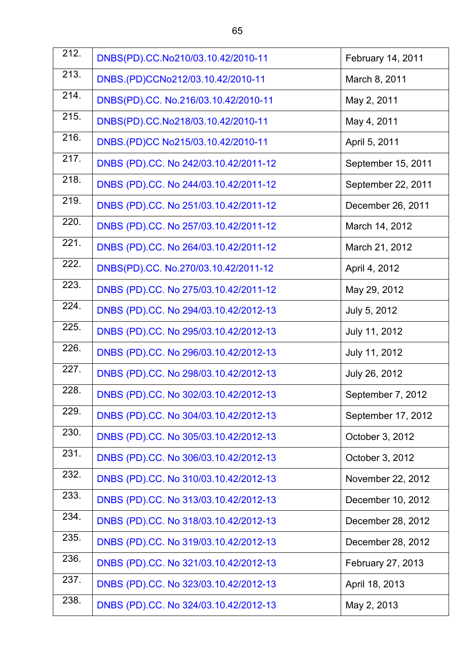| 212.               | DNBS(PD).CC.No210/03.10.42/2010-11    | February 14, 2011  |
|--------------------|---------------------------------------|--------------------|
| 213.               | DNBS.(PD)CCNo212/03.10.42/2010-11     | March 8, 2011      |
| 214.               | DNBS(PD).CC. No.216/03.10.42/2010-11  | May 2, 2011        |
| 215.               | DNBS(PD).CC.No218/03.10.42/2010-11    | May 4, 2011        |
| 216.               | DNBS.(PD)CC No215/03.10.42/2010-11    | April 5, 2011      |
| $\overline{217}$ . | DNBS (PD).CC. No 242/03.10.42/2011-12 | September 15, 2011 |
| 218.               | DNBS (PD).CC. No 244/03.10.42/2011-12 | September 22, 2011 |
| 219.               | DNBS (PD).CC. No 251/03.10.42/2011-12 | December 26, 2011  |
| 220.               | DNBS (PD).CC. No 257/03.10.42/2011-12 | March 14, 2012     |
| 221.               | DNBS (PD).CC. No 264/03.10.42/2011-12 | March 21, 2012     |
| 222.               | DNBS(PD).CC. No.270/03.10.42/2011-12  | April 4, 2012      |
| 223.               | DNBS (PD).CC. No 275/03.10.42/2011-12 | May 29, 2012       |
| 224.               | DNBS (PD).CC. No 294/03.10.42/2012-13 | July 5, 2012       |
| 225.               | DNBS (PD).CC. No 295/03.10.42/2012-13 | July 11, 2012      |
| 226.               | DNBS (PD).CC. No 296/03.10.42/2012-13 | July 11, 2012      |
| 227.               | DNBS (PD).CC. No 298/03.10.42/2012-13 | July 26, 2012      |
| 228.               | DNBS (PD).CC. No 302/03.10.42/2012-13 | September 7, 2012  |
| 229.               | DNBS (PD).CC. No 304/03.10.42/2012-13 | September 17, 2012 |
| 230.               | DNBS (PD).CC. No 305/03.10.42/2012-13 | October 3, 2012    |
| 231.               | DNBS (PD).CC. No 306/03.10.42/2012-13 | October 3, 2012    |
| 232.               | DNBS (PD).CC. No 310/03.10.42/2012-13 | November 22, 2012  |
| 233.               | DNBS (PD).CC. No 313/03.10.42/2012-13 | December 10, 2012  |
| 234.               | DNBS (PD).CC. No 318/03.10.42/2012-13 | December 28, 2012  |
| 235.               | DNBS (PD).CC. No 319/03.10.42/2012-13 | December 28, 2012  |
| 236.               | DNBS (PD).CC. No 321/03.10.42/2012-13 | February 27, 2013  |
| 237.               | DNBS (PD).CC. No 323/03.10.42/2012-13 | April 18, 2013     |
| 238.               | DNBS (PD).CC. No 324/03.10.42/2012-13 | May 2, 2013        |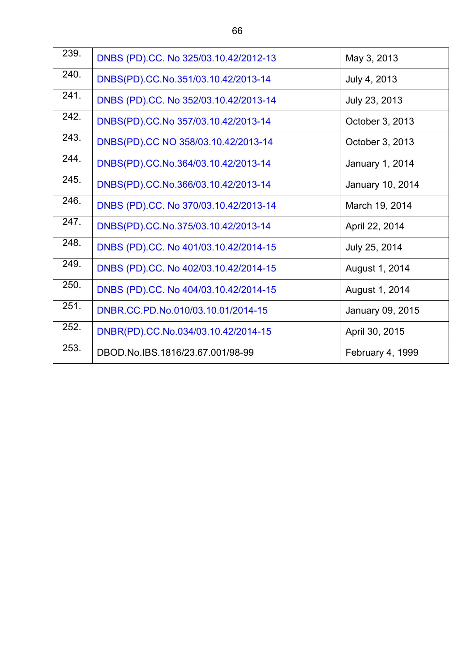| 239. | DNBS (PD).CC. No 325/03.10.42/2012-13 | May 3, 2013      |
|------|---------------------------------------|------------------|
| 240. | DNBS(PD).CC.No.351/03.10.42/2013-14   | July 4, 2013     |
| 241. | DNBS (PD).CC. No 352/03.10.42/2013-14 | July 23, 2013    |
| 242. | DNBS(PD).CC.No 357/03.10.42/2013-14   | October 3, 2013  |
| 243. | DNBS(PD).CC NO 358/03.10.42/2013-14   | October 3, 2013  |
| 244. | DNBS(PD).CC.No.364/03.10.42/2013-14   | January 1, 2014  |
| 245. | DNBS(PD).CC.No.366/03.10.42/2013-14   | January 10, 2014 |
| 246. | DNBS (PD).CC. No 370/03.10.42/2013-14 | March 19, 2014   |
| 247. | DNBS(PD).CC.No.375/03.10.42/2013-14   | April 22, 2014   |
| 248. | DNBS (PD).CC. No 401/03.10.42/2014-15 | July 25, 2014    |
| 249. | DNBS (PD).CC. No 402/03.10.42/2014-15 | August 1, 2014   |
| 250. | DNBS (PD).CC. No 404/03.10.42/2014-15 | August 1, 2014   |
| 251. | DNBR.CC.PD.No.010/03.10.01/2014-15    | January 09, 2015 |
| 252. | DNBR(PD).CC.No.034/03.10.42/2014-15   | April 30, 2015   |
| 253. | DBOD.No.IBS.1816/23.67.001/98-99      | February 4, 1999 |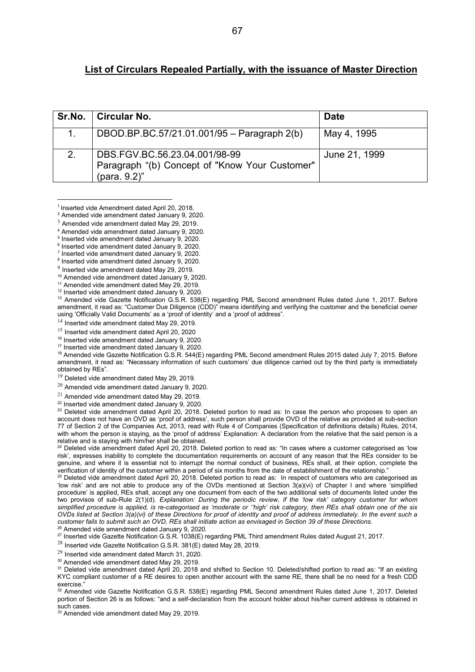#### **List of Circulars Repealed Partially, with the issuance of Master Direction**

| Sr.No. | Circular No.                                                                                    | <b>Date</b>   |
|--------|-------------------------------------------------------------------------------------------------|---------------|
|        | DBOD.BP.BC.57/21.01.001/95 - Paragraph 2(b)                                                     | May 4, 1995   |
| 2.     | DBS.FGV.BC.56.23.04.001/98-99<br>Paragraph "(b) Concept of "Know Your Customer"<br>(para. 9.2)" | June 21, 1999 |

<sup>&</sup>lt;sup>1</sup> Inserted vide Amendment dated April 20, 2018.

<u>.</u>

<sup>12</sup> Inserted vide amendment dated January 9, 2020.

<sup>13</sup> Amended vide Gazette Notification G.S.R. 538(E) regarding PML Second amendment Rules dated June 1, 2017. Before amendment, it read as: "Customer Due Diligence (CDD)" means identifying and verifying the customer and the beneficial owner using 'Officially Valid Documents' as a 'proof of identity' and a 'proof of address".

<sup>14</sup> Inserted vide amendment dated May 29, 2019.

<sup>15</sup> Inserted vide amendment dated April 20, 2020

<sup>16</sup> Inserted vide amendment dated January 9, 2020.

<sup>17</sup> Inserted vide amendment dated January 9, 2020.

<sup>18</sup> Amended vide Gazette Notification G.S.R. 544(E) regarding PML Second amendment Rules 2015 dated July 7, 2015. Before amendment, it read as: "Necessary information of such customers' due diligence carried out by the third party is immediately obtained by REs".

 $19$  Deleted vide amendment dated May 29, 2019.

 $20$  Amended vide amendment dated January 9, 2020.

<sup>21</sup> Amended vide amendment dated May 29, 2019.

<sup>22</sup> Inserted vide amendment dated January 9, 2020.

<sup>23</sup> Deleted vide amendment dated April 20, 2018. Deleted portion to read as: In case the person who proposes to open an account does not have an OVD as 'proof of address', such person shall provide OVD of the relative as provided at sub-section 77 of Section 2 of the Companies Act, 2013, read with Rule 4 of Companies (Specification of definitions details) Rules, 2014, with whom the person is staying, as the 'proof of address' Explanation: A declaration from the relative that the said person is a relative and is staying with him/her shall be obtained.

<sup>24</sup> Deleted vide amendment dated April 20, 2018. Deleted portion to read as: "In cases where a customer categorised as 'low risk', expresses inability to complete the documentation requirements on account of any reason that the REs consider to be genuine, and where it is essential not to interrupt the normal conduct of business, REs shall, at their option, complete the verification of identity of the customer within a period of six months from the date of establishment of the relationship."

<sup>25</sup> Deleted vide amendment dated April 20, 2018. Deleted portion to read as: In respect of customers who are categorised as 'low risk' and are not able to produce any of the OVDs mentioned at Section 3(a)(vi) of Chapter I and where 'simplified procedure' is applied, REs shall, accept any one document from each of the two additional sets of documents listed under the two provisos of sub-Rule 2(1)(d). *Explanation: During the periodic review, if the 'low risk' category customer for whom simplified procedure is applied, is re-categorised as 'moderate or ''high' risk category, then REs shall obtain one of the six OVDs listed at Section 3(a)(vi) of these Directions for proof of identity and proof of address immediately. In the event such a customer fails to submit such an OVD, REs shall initiate action as envisaged in Section 39 of these Directions*.

 $\delta$  Amended vide amendment dated January 9, 2020.

<sup>27</sup> Inserted vide Gazette Notification G.S.R. 1038(E) regarding PML Third amendment Rules dated August 21, 2017.

<sup>28</sup> Inserted vide Gazette Notification G.S.R. 381(E) dated May 28, 2019.

 $^{29}$  Inserted vide amendment dated March 31, 2020.

<sup>30</sup> Amended vide amendment dated May 29, 2019.

<sup>31</sup> Deleted vide amendment dated April 20, 2018 and shifted to Section 10. Deleted/shifted portion to read as: "If an existing KYC compliant customer of a RE desires to open another account with the same RE, there shall be no need for a fresh CDD exercise."

 $32$  Amended vide Gazette Notification G.S.R. 538(E) regarding PML Second amendment Rules dated June 1, 2017. Deleted portion of Section 26 is as follows: "and a self-declaration from the account holder about his/her current address is obtained in such cases.

<sup>33</sup> Amended vide amendment dated May 29, 2019.

<sup>2</sup> Amended vide amendment dated January 9, 2020.

<sup>3</sup> Amended vide amendment dated May 29, 2019.

<sup>4</sup> Amended vide amendment dated January 9, 2020.

<sup>5</sup> Inserted vide amendment dated January 9, 2020.

<sup>6</sup> Inserted vide amendment dated January 9, 2020.

<sup>7</sup> Inserted vide amendment dated January 9, 2020.

<sup>&</sup>lt;sup>8</sup> Inserted vide amendment dated January 9, 2020.

 $9$  Inserted vide amendment dated May 29, 2019.

<sup>10</sup> Amended vide amendment dated January 9, 2020.

<sup>11</sup> Amended vide amendment dated May 29, 2019.